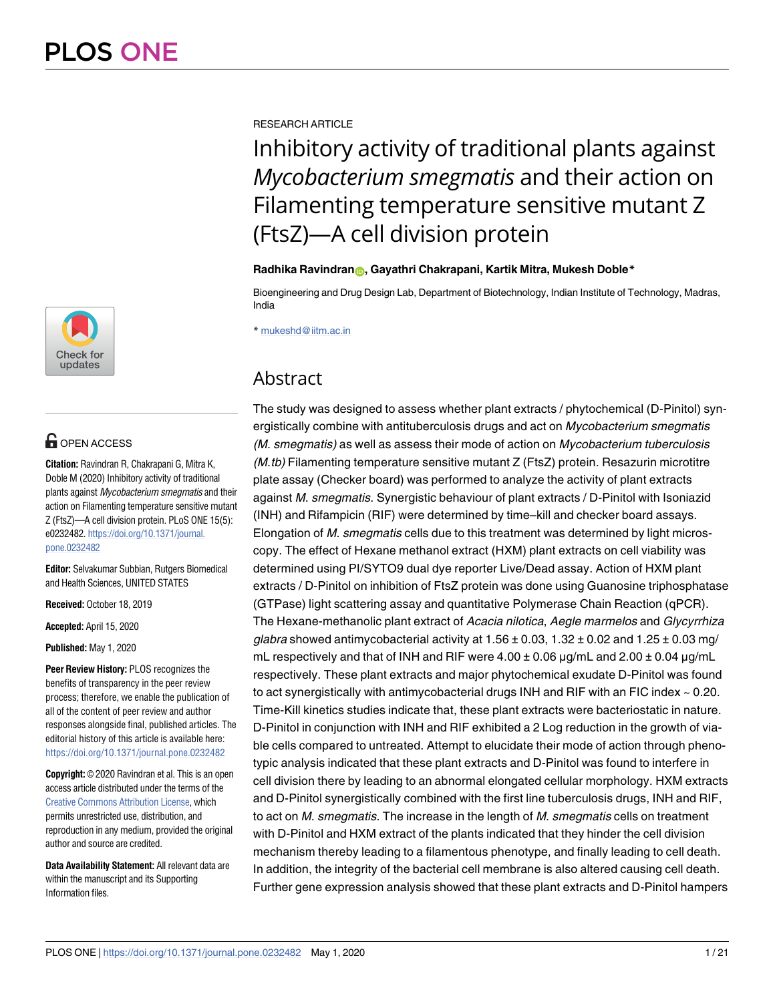

# **G** OPEN ACCESS

**Citation:** Ravindran R, Chakrapani G, Mitra K, Doble M (2020) Inhibitory activity of traditional plants against Mycobacterium smegmatis and their action on Filamenting temperature sensitive mutant Z (FtsZ)—A cell division protein. PLoS ONE 15(5): e0232482. [https://doi.org/10.1371/journal.](https://doi.org/10.1371/journal.pone.0232482) [pone.0232482](https://doi.org/10.1371/journal.pone.0232482)

**Editor:** Selvakumar Subbian, Rutgers Biomedical and Health Sciences, UNITED STATES

**Received:** October 18, 2019

**Accepted:** April 15, 2020

**Published:** May 1, 2020

**Peer Review History:** PLOS recognizes the benefits of transparency in the peer review process; therefore, we enable the publication of all of the content of peer review and author responses alongside final, published articles. The editorial history of this article is available here: <https://doi.org/10.1371/journal.pone.0232482>

**Copyright:** © 2020 Ravindran et al. This is an open access article distributed under the terms of the [Creative Commons Attribution License,](http://creativecommons.org/licenses/by/4.0/) which permits unrestricted use, distribution, and reproduction in any medium, provided the original author and source are credited.

**Data Availability Statement:** All relevant data are within the manuscript and its Supporting Information files.

RESEARCH ARTICLE

Inhibitory activity of traditional plants against *Mycobacterium smegmatis* and their action on Filamenting temperature sensitive mutant Z (FtsZ)—A cell division protein

# **Radhika Ravindran[ID](http://orcid.org/0000-0003-3131-0987), Gayathri Chakrapani, Kartik Mitra, Mukesh Doble\***

Bioengineering and Drug Design Lab, Department of Biotechnology, Indian Institute of Technology, Madras, India

\* mukeshd@iitm.ac.in

# Abstract

The study was designed to assess whether plant extracts / phytochemical (D-Pinitol) synergistically combine with antituberculosis drugs and act on *Mycobacterium smegmatis* (M. smegmatis) as well as assess their mode of action on Mycobacterium tuberculosis  $(M<sub>t</sub>$ tb) Filamenting temperature sensitive mutant Z (FtsZ) protein. Resazurin microtitre plate assay (Checker board) was performed to analyze the activity of plant extracts against M. smegmatis. Synergistic behaviour of plant extracts / D-Pinitol with Isoniazid (INH) and Rifampicin (RIF) were determined by time–kill and checker board assays. Elongation of M. smegmatis cells due to this treatment was determined by light microscopy. The effect of Hexane methanol extract (HXM) plant extracts on cell viability was determined using PI/SYTO9 dual dye reporter Live/Dead assay. Action of HXM plant extracts / D-Pinitol on inhibition of FtsZ protein was done using Guanosine triphosphatase (GTPase) light scattering assay and quantitative Polymerase Chain Reaction (qPCR). The Hexane-methanolic plant extract of Acacia nilotica, Aegle marmelos and Glycyrrhiza glabra showed antimycobacterial activity at  $1.56 \pm 0.03$ ,  $1.32 \pm 0.02$  and  $1.25 \pm 0.03$  mg/ mL respectively and that of INH and RIF were  $4.00 \pm 0.06$   $\mu$ g/mL and  $2.00 \pm 0.04$   $\mu$ g/mL respectively. These plant extracts and major phytochemical exudate D-Pinitol was found to act synergistically with antimycobacterial drugs INH and RIF with an FIC index  $\sim$  0.20. Time-Kill kinetics studies indicate that, these plant extracts were bacteriostatic in nature. D-Pinitol in conjunction with INH and RIF exhibited a 2 Log reduction in the growth of viable cells compared to untreated. Attempt to elucidate their mode of action through phenotypic analysis indicated that these plant extracts and D-Pinitol was found to interfere in cell division there by leading to an abnormal elongated cellular morphology. HXM extracts and D-Pinitol synergistically combined with the first line tuberculosis drugs, INH and RIF, to act on M. smegmatis. The increase in the length of M. smegmatis cells on treatment with D-Pinitol and HXM extract of the plants indicated that they hinder the cell division mechanism thereby leading to a filamentous phenotype, and finally leading to cell death. In addition, the integrity of the bacterial cell membrane is also altered causing cell death. Further gene expression analysis showed that these plant extracts and D-Pinitol hampers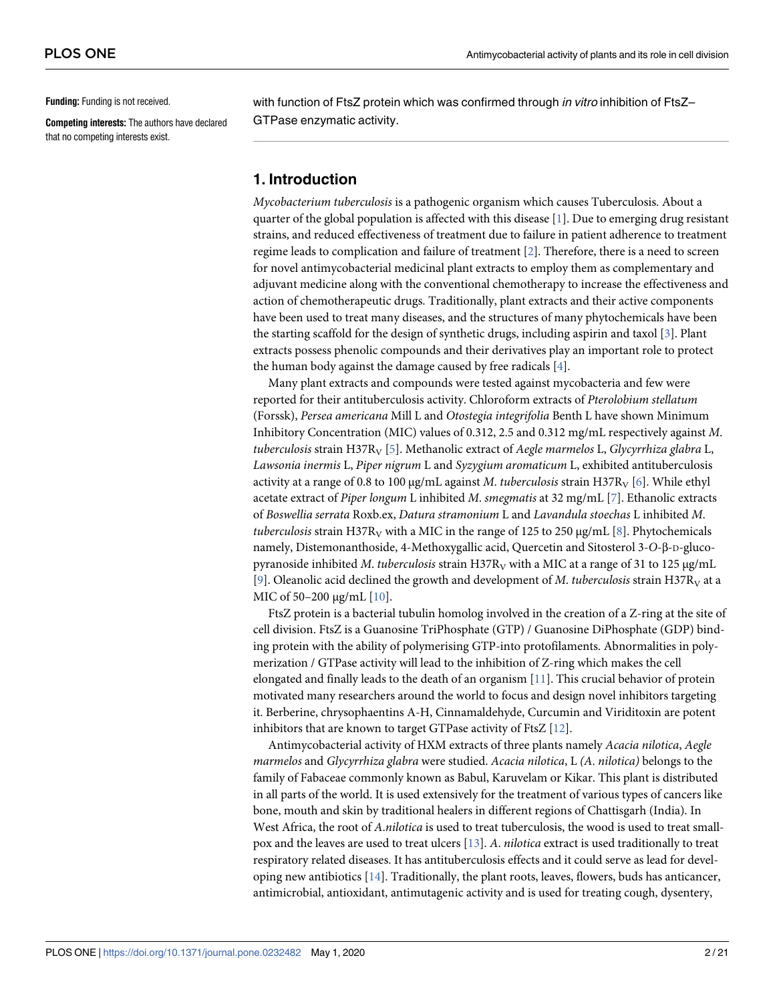<span id="page-1-0"></span>**Funding:** Funding is not received.

**Competing interests:** The authors have declared that no competing interests exist.

with function of FtsZ protein which was confirmed through in vitro inhibition of FtsZ-GTPase enzymatic activity.

# **1. Introduction**

Mycobacterium tuberculosis is a pathogenic organism which causes Tuberculosis. About a quarter of the global population is affected with this disease  $[1]$  $[1]$  $[1]$ . Due to emerging drug resistant strains, and reduced effectiveness of treatment due to failure in patient adherence to treatment regime leads to complication and failure of treatment  $[2]$ . Therefore, there is a need to screen for novel antimycobacterial medicinal plant extracts to employ them as complementary and adjuvant medicine along with the conventional chemotherapy to increase the effectiveness and action of chemotherapeutic drugs. Traditionally, plant extracts and their active components have been used to treat many diseases, and the structures of many phytochemicals have been the starting scaffold for the design of synthetic drugs, including aspirin and taxol [\[3\]](#page-17-0). Plant extracts possess phenolic compounds and their derivatives play an important role to protect the human body against the damage caused by free radicals  $[4]$  $[4]$ .

Many plant extracts and compounds were tested against mycobacteria and few were reported for their antituberculosis activity. Chloroform extracts of Pterolobium stellatum (Forssk), Persea americana Mill L and Otostegia integrifolia Benth L have shown Minimum Inhibitory Concentration (MIC) values of 0.312, 2.5 and 0.312 mg/mL respectively against M. tuberculosis strain H37R<sub>V</sub> [[5](#page-17-0)]. Methanolic extract of Aegle marmelos L, Glycyrrhiza glabra L, Lawsonia inermis L, Piper nigrum L and Syzygium aromaticum L, exhibited antituberculosis activity at a range of 0.8 to 100  $\mu$ g/mL against *M. tuberculosis* strain H37R<sub>V</sub> [[6](#page-17-0)]. While ethyl acetate extract of Piper longum L inhibited M. smegmatis at 32 mg/mL [[7\]](#page-17-0). Ethanolic extracts of Boswellia serrata Roxb.ex, Datura stramonium L and Lavandula stoechas L inhibited M. tuberculosis strain H37R<sub>V</sub> with a MIC in the range of 125 to 250  $\mu$ g/mL [\[8\]](#page-17-0). Phytochemicals namely, Distemonanthoside, 4-Methoxygallic acid, Quercetin and Sitosterol 3-O-β-D-glucopyranoside inhibited *M. tuberculosis* strain H37R<sub>V</sub> with a MIC at a range of 31 to 125 μg/mL [\[9](#page-17-0)]. Oleanolic acid declined the growth and development of M. tuberculosis strain H37 $R_V$  at a MIC of 50–200 μg/mL [\[10](#page-17-0)].

FtsZ protein is a bacterial tubulin homolog involved in the creation of a Z-ring at the site of cell division. FtsZ is a Guanosine TriPhosphate (GTP) / Guanosine DiPhosphate (GDP) binding protein with the ability of polymerising GTP-into protofilaments. Abnormalities in polymerization / GTPase activity will lead to the inhibition of Z-ring which makes the cell elongated and finally leads to the death of an organism [\[11\]](#page-17-0). This crucial behavior of protein motivated many researchers around the world to focus and design novel inhibitors targeting it. Berberine, chrysophaentins A-H, Cinnamaldehyde, Curcumin and Viriditoxin are potent inhibitors that are known to target GTPase activity of FtsZ [\[12\]](#page-17-0).

Antimycobacterial activity of HXM extracts of three plants namely Acacia nilotica, Aegle marmelos and Glycyrrhiza glabra were studied. Acacia nilotica, L (A. nilotica) belongs to the family of Fabaceae commonly known as Babul, Karuvelam or Kikar. This plant is distributed in all parts of the world. It is used extensively for the treatment of various types of cancers like bone, mouth and skin by traditional healers in different regions of Chattisgarh (India). In West Africa, the root of A.nilotica is used to treat tuberculosis, the wood is used to treat smallpox and the leaves are used to treat ulcers [[13](#page-17-0)]. A. nilotica extract is used traditionally to treat respiratory related diseases. It has antituberculosis effects and it could serve as lead for developing new antibiotics  $[14]$ . Traditionally, the plant roots, leaves, flowers, buds has anticancer, antimicrobial, antioxidant, antimutagenic activity and is used for treating cough, dysentery,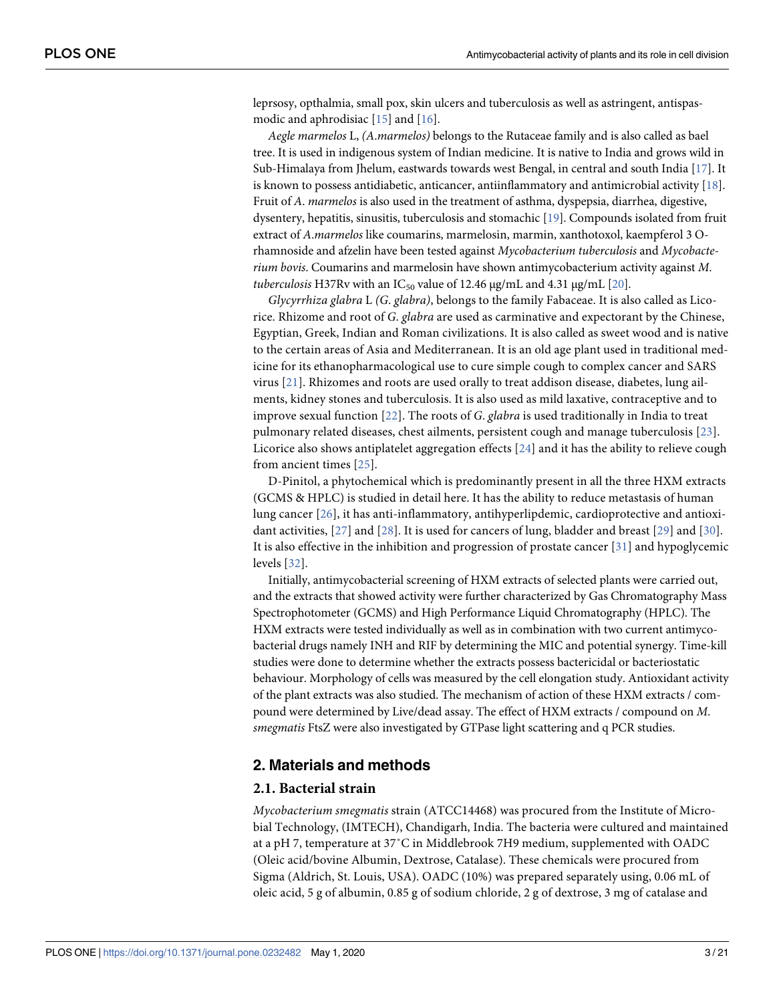<span id="page-2-0"></span>leprsosy, opthalmia, small pox, skin ulcers and tuberculosis as well as astringent, antispasmodic and aphrodisiac [[15](#page-17-0)] and [[16](#page-17-0)].

Aegle marmelos L, (A.marmelos) belongs to the Rutaceae family and is also called as bael tree. It is used in indigenous system of Indian medicine. It is native to India and grows wild in Sub-Himalaya from Jhelum, eastwards towards west Bengal, in central and south India [[17](#page-17-0)]. It is known to possess antidiabetic, anticancer, antiinflammatory and antimicrobial activity  $[18]$ . Fruit of A. marmelos is also used in the treatment of asthma, dyspepsia, diarrhea, digestive, dysentery, hepatitis, sinusitis, tuberculosis and stomachic [\[19\]](#page-17-0). Compounds isolated from fruit extract of A.marmelos like coumarins, marmelosin, marmin, xanthotoxol, kaempferol 3 Orhamnoside and afzelin have been tested against Mycobacterium tuberculosis and Mycobacterium bovis. Coumarins and marmelosin have shown antimycobacterium activity against M. tuberculosis H37Rv with an  $IC_{50}$  value of 12.46 μg/mL and 4.31 μg/mL [[20](#page-17-0)].

Glycyrrhiza glabra L (G. glabra), belongs to the family Fabaceae. It is also called as Licorice. Rhizome and root of G. glabra are used as carminative and expectorant by the Chinese, Egyptian, Greek, Indian and Roman civilizations. It is also called as sweet wood and is native to the certain areas of Asia and Mediterranean. It is an old age plant used in traditional medicine for its ethanopharmacological use to cure simple cough to complex cancer and SARS virus [\[21\]](#page-18-0). Rhizomes and roots are used orally to treat addison disease, diabetes, lung ailments, kidney stones and tuberculosis. It is also used as mild laxative, contraceptive and to improve sexual function  $[22]$  $[22]$  $[22]$ . The roots of G. glabra is used traditionally in India to treat pulmonary related diseases, chest ailments, persistent cough and manage tuberculosis [\[23](#page-18-0)]. Licorice also shows antiplatelet aggregation effects  $[24]$  and it has the ability to relieve cough from ancient times [[25\]](#page-18-0).

D-Pinitol, a phytochemical which is predominantly present in all the three HXM extracts (GCMS & HPLC) is studied in detail here. It has the ability to reduce metastasis of human lung cancer [\[26\]](#page-18-0), it has anti-inflammatory, antihyperlipdemic, cardioprotective and antioxidant activities, [[27\]](#page-18-0) and [\[28](#page-18-0)]. It is used for cancers of lung, bladder and breast [\[29](#page-18-0)] and [[30\]](#page-18-0). It is also effective in the inhibition and progression of prostate cancer [\[31](#page-18-0)] and hypoglycemic levels [[32\]](#page-18-0).

Initially, antimycobacterial screening of HXM extracts of selected plants were carried out, and the extracts that showed activity were further characterized by Gas Chromatography Mass Spectrophotometer (GCMS) and High Performance Liquid Chromatography (HPLC). The HXM extracts were tested individually as well as in combination with two current antimycobacterial drugs namely INH and RIF by determining the MIC and potential synergy. Time-kill studies were done to determine whether the extracts possess bactericidal or bacteriostatic behaviour. Morphology of cells was measured by the cell elongation study. Antioxidant activity of the plant extracts was also studied. The mechanism of action of these HXM extracts / compound were determined by Live/dead assay. The effect of HXM extracts / compound on M. smegmatis FtsZ were also investigated by GTPase light scattering and q PCR studies.

# **2. Materials and methods**

#### **2.1. Bacterial strain**

Mycobacterium smegmatis strain (ATCC14468) was procured from the Institute of Microbial Technology, (IMTECH), Chandigarh, India. The bacteria were cultured and maintained at a pH 7, temperature at 37˚C in Middlebrook 7H9 medium, supplemented with OADC (Oleic acid/bovine Albumin, Dextrose, Catalase). These chemicals were procured from Sigma (Aldrich, St. Louis, USA). OADC (10%) was prepared separately using, 0.06 mL of oleic acid, 5 g of albumin, 0.85 g of sodium chloride, 2 g of dextrose, 3 mg of catalase and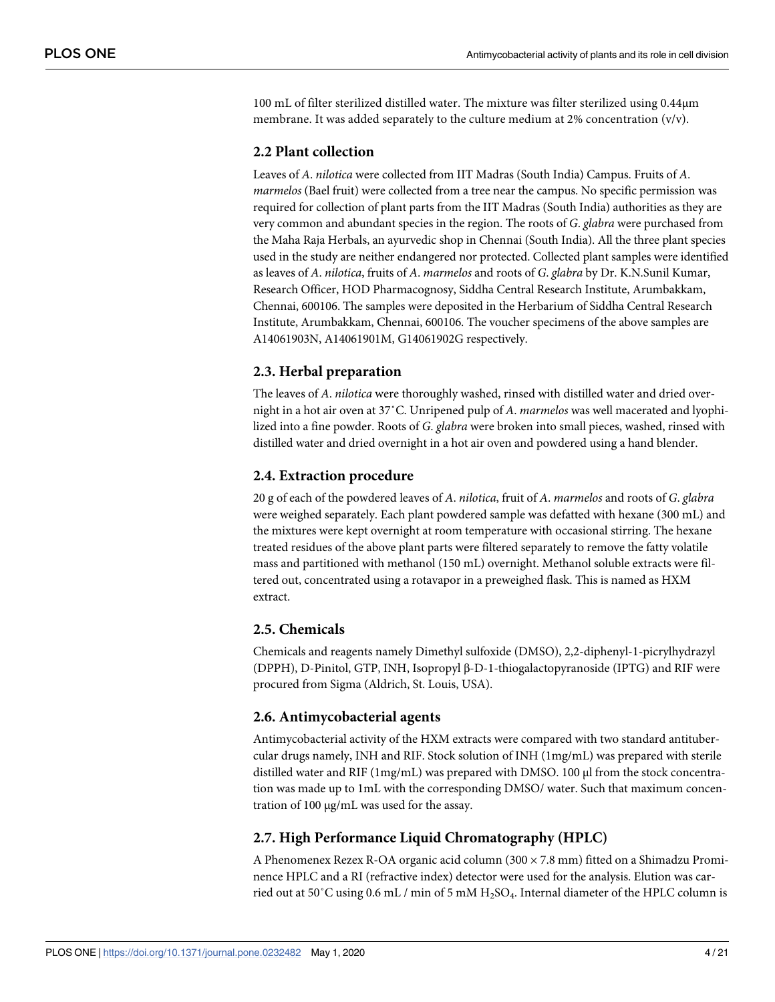100 mL of filter sterilized distilled water. The mixture was filter sterilized using 0.44μm membrane. It was added separately to the culture medium at 2% concentration (v/v).

# **2.2 Plant collection**

Leaves of A. nilotica were collected from IIT Madras (South India) Campus. Fruits of A. marmelos (Bael fruit) were collected from a tree near the campus. No specific permission was required for collection of plant parts from the IIT Madras (South India) authorities as they are very common and abundant species in the region. The roots of G. glabra were purchased from the Maha Raja Herbals, an ayurvedic shop in Chennai (South India). All the three plant species used in the study are neither endangered nor protected. Collected plant samples were identified as leaves of A. nilotica, fruits of A. marmelos and roots of G. glabra by Dr. K.N.Sunil Kumar, Research Officer, HOD Pharmacognosy, Siddha Central Research Institute, Arumbakkam, Chennai, 600106. The samples were deposited in the Herbarium of Siddha Central Research Institute, Arumbakkam, Chennai, 600106. The voucher specimens of the above samples are A14061903N, A14061901M, G14061902G respectively.

# **2.3. Herbal preparation**

The leaves of A. *nilotica* were thoroughly washed, rinsed with distilled water and dried overnight in a hot air oven at 37°C. Unripened pulp of A. marmelos was well macerated and lyophilized into a fine powder. Roots of G. glabra were broken into small pieces, washed, rinsed with distilled water and dried overnight in a hot air oven and powdered using a hand blender.

# **2.4. Extraction procedure**

20 g of each of the powdered leaves of A. nilotica, fruit of A. marmelos and roots of G. glabra were weighed separately. Each plant powdered sample was defatted with hexane (300 mL) and the mixtures were kept overnight at room temperature with occasional stirring. The hexane treated residues of the above plant parts were filtered separately to remove the fatty volatile mass and partitioned with methanol (150 mL) overnight. Methanol soluble extracts were filtered out, concentrated using a rotavapor in a preweighed flask. This is named as HXM extract.

### **2.5. Chemicals**

Chemicals and reagents namely Dimethyl sulfoxide (DMSO), 2,2-diphenyl-1-picrylhydrazyl (DPPH), D-Pinitol, GTP, INH, Isopropyl β-D-1-thiogalactopyranoside (IPTG) and RIF were procured from Sigma (Aldrich, St. Louis, USA).

### **2.6. Antimycobacterial agents**

Antimycobacterial activity of the HXM extracts were compared with two standard antitubercular drugs namely, INH and RIF. Stock solution of INH (1mg/mL) was prepared with sterile distilled water and RIF (1mg/mL) was prepared with DMSO. 100 μl from the stock concentration was made up to 1mL with the corresponding DMSO/ water. Such that maximum concentration of 100 μg/mL was used for the assay.

### **2.7. High Performance Liquid Chromatography (HPLC)**

A Phenomenex Rezex R-OA organic acid column (300 × 7.8 mm) fitted on a Shimadzu Prominence HPLC and a RI (refractive index) detector were used for the analysis. Elution was carried out at 50˚C using 0.6 mL / min of 5 mM H2SO<sup>4</sup> . Internal diameter of the HPLC column is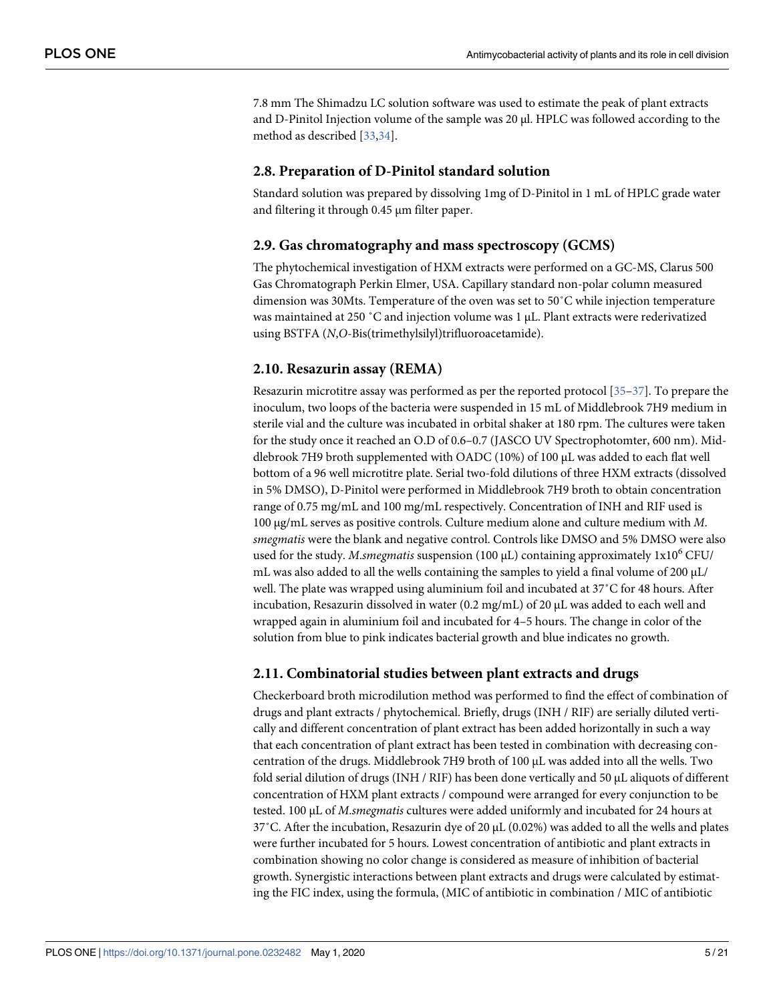<span id="page-4-0"></span>7.8 mm The Shimadzu LC solution software was used to estimate the peak of plant extracts and D-Pinitol Injection volume of the sample was 20 μl. HPLC was followed according to the method as described [\[33,34\]](#page-18-0).

# **2.8. Preparation of D-Pinitol standard solution**

Standard solution was prepared by dissolving 1mg of D-Pinitol in 1 mL of HPLC grade water and filtering it through 0.45 μm filter paper.

# **2.9. Gas chromatography and mass spectroscopy (GCMS)**

The phytochemical investigation of HXM extracts were performed on a GC-MS, Clarus 500 Gas Chromatograph Perkin Elmer, USA. Capillary standard non-polar column measured dimension was 30Mts. Temperature of the oven was set to 50˚C while injection temperature was maintained at 250 ˚C and injection volume was 1 μL. Plant extracts were rederivatized using BSTFA (N,O-Bis(trimethylsilyl)trifluoroacetamide).

# **2.10. Resazurin assay (REMA)**

Resazurin microtitre assay was performed as per the reported protocol [\[35–37](#page-18-0)]. To prepare the inoculum, two loops of the bacteria were suspended in 15 mL of Middlebrook 7H9 medium in sterile vial and the culture was incubated in orbital shaker at 180 rpm. The cultures were taken for the study once it reached an O.D of 0.6–0.7 (JASCO UV Spectrophotomter, 600 nm). Middlebrook 7H9 broth supplemented with OADC (10%) of 100 μL was added to each flat well bottom of a 96 well microtitre plate. Serial two-fold dilutions of three HXM extracts (dissolved in 5% DMSO), D-Pinitol were performed in Middlebrook 7H9 broth to obtain concentration range of 0.75 mg/mL and 100 mg/mL respectively. Concentration of INH and RIF used is 100 μg/mL serves as positive controls. Culture medium alone and culture medium with M. smegmatis were the blank and negative control. Controls like DMSO and 5% DMSO were also used for the study. M.smegmatis suspension (100  $\mu$ L) containing approximately 1x10<sup>6</sup> CFU/ mL was also added to all the wells containing the samples to yield a final volume of 200  $\mu$ L/ well. The plate was wrapped using aluminium foil and incubated at 37˚C for 48 hours. After incubation, Resazurin dissolved in water (0.2 mg/mL) of 20 μL was added to each well and wrapped again in aluminium foil and incubated for 4–5 hours. The change in color of the solution from blue to pink indicates bacterial growth and blue indicates no growth.

# **2.11. Combinatorial studies between plant extracts and drugs**

Checkerboard broth microdilution method was performed to find the effect of combination of drugs and plant extracts / phytochemical. Briefly, drugs (INH / RIF) are serially diluted vertically and different concentration of plant extract has been added horizontally in such a way that each concentration of plant extract has been tested in combination with decreasing concentration of the drugs. Middlebrook 7H9 broth of 100 μL was added into all the wells. Two fold serial dilution of drugs (INH / RIF) has been done vertically and 50 μL aliquots of different concentration of HXM plant extracts / compound were arranged for every conjunction to be tested. 100 μL of M.smegmatis cultures were added uniformly and incubated for 24 hours at 37˚C. After the incubation, Resazurin dye of 20 μL (0.02%) was added to all the wells and plates were further incubated for 5 hours. Lowest concentration of antibiotic and plant extracts in combination showing no color change is considered as measure of inhibition of bacterial growth. Synergistic interactions between plant extracts and drugs were calculated by estimating the FIC index, using the formula, (MIC of antibiotic in combination / MIC of antibiotic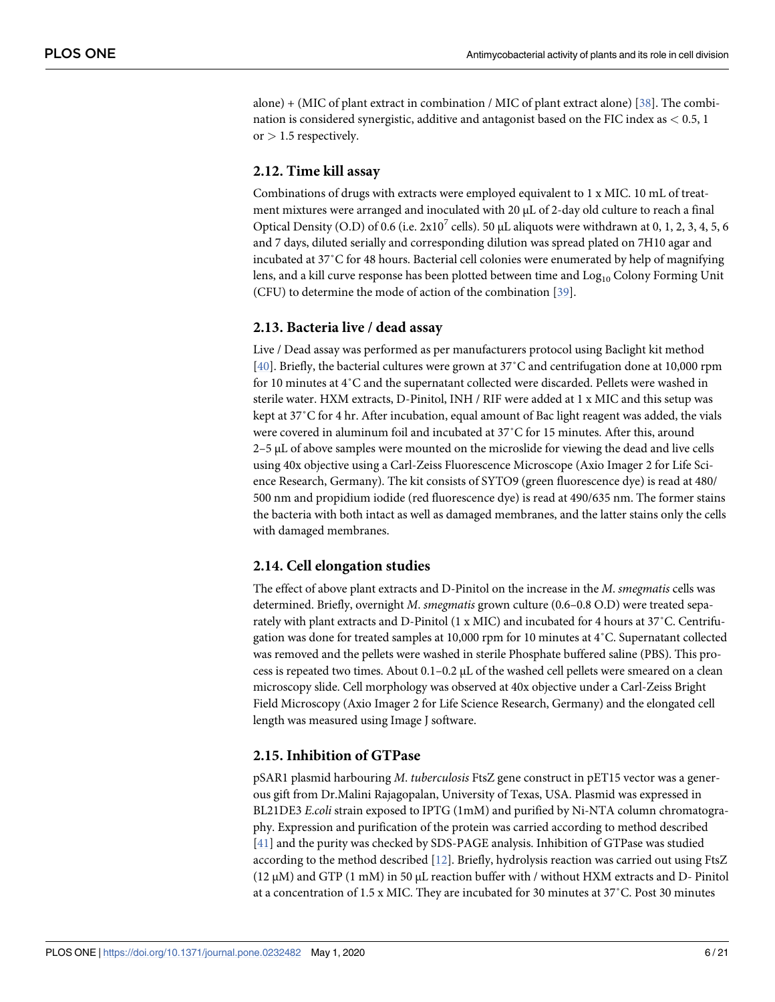<span id="page-5-0"></span>alone) + (MIC of plant extract in combination / MIC of plant extract alone) [\[38\]](#page-18-0). The combination is considered synergistic, additive and antagonist based on the FIC index as *<* 0.5, 1 or *>* 1.5 respectively.

# **2.12. Time kill assay**

Combinations of drugs with extracts were employed equivalent to 1 x MIC. 10 mL of treatment mixtures were arranged and inoculated with 20 μL of 2-day old culture to reach a final Optical Density (O.D) of 0.6 (i.e.  $2x10^7$  cells). 50 µL aliquots were withdrawn at 0, 1, 2, 3, 4, 5, 6 and 7 days, diluted serially and corresponding dilution was spread plated on 7H10 agar and incubated at 37˚C for 48 hours. Bacterial cell colonies were enumerated by help of magnifying lens, and a kill curve response has been plotted between time and Log<sub>10</sub> Colony Forming Unit (CFU) to determine the mode of action of the combination [\[39\]](#page-18-0).

# **2.13. Bacteria live / dead assay**

Live / Dead assay was performed as per manufacturers protocol using Baclight kit method [\[40\]](#page-19-0). Briefly, the bacterial cultures were grown at 37˚C and centrifugation done at 10,000 rpm for 10 minutes at 4˚C and the supernatant collected were discarded. Pellets were washed in sterile water. HXM extracts, D-Pinitol, INH / RIF were added at 1 x MIC and this setup was kept at 37˚C for 4 hr. After incubation, equal amount of Bac light reagent was added, the vials were covered in aluminum foil and incubated at 37˚C for 15 minutes. After this, around 2–5 μL of above samples were mounted on the microslide for viewing the dead and live cells using 40x objective using a Carl-Zeiss Fluorescence Microscope (Axio Imager 2 for Life Science Research, Germany). The kit consists of SYTO9 (green fluorescence dye) is read at 480/ 500 nm and propidium iodide (red fluorescence dye) is read at 490/635 nm. The former stains the bacteria with both intact as well as damaged membranes, and the latter stains only the cells with damaged membranes.

### **2.14. Cell elongation studies**

The effect of above plant extracts and D-Pinitol on the increase in the M. smegmatis cells was determined. Briefly, overnight M. smegmatis grown culture (0.6–0.8 O.D) were treated separately with plant extracts and D-Pinitol (1 x MIC) and incubated for 4 hours at 37˚C. Centrifugation was done for treated samples at 10,000 rpm for 10 minutes at 4˚C. Supernatant collected was removed and the pellets were washed in sterile Phosphate buffered saline (PBS). This process is repeated two times. About  $0.1$ – $0.2 \mu$ L of the washed cell pellets were smeared on a clean microscopy slide. Cell morphology was observed at 40x objective under a Carl-Zeiss Bright Field Microscopy (Axio Imager 2 for Life Science Research, Germany) and the elongated cell length was measured using Image J software.

### **2.15. Inhibition of GTPase**

pSAR1 plasmid harbouring M. tuberculosis FtsZ gene construct in pET15 vector was a generous gift from Dr.Malini Rajagopalan, University of Texas, USA. Plasmid was expressed in BL21DE3 E.coli strain exposed to IPTG (1mM) and purified by Ni-NTA column chromatography. Expression and purification of the protein was carried according to method described [\[41\]](#page-19-0) and the purity was checked by SDS-PAGE analysis. Inhibition of GTPase was studied according to the method described [\[12](#page-17-0)]. Briefly, hydrolysis reaction was carried out using FtsZ ( $12 \mu$ M) and GTP (1 mM) in 50  $\mu$ L reaction buffer with / without HXM extracts and D- Pinitol at a concentration of 1.5 x MIC. They are incubated for 30 minutes at 37˚C. Post 30 minutes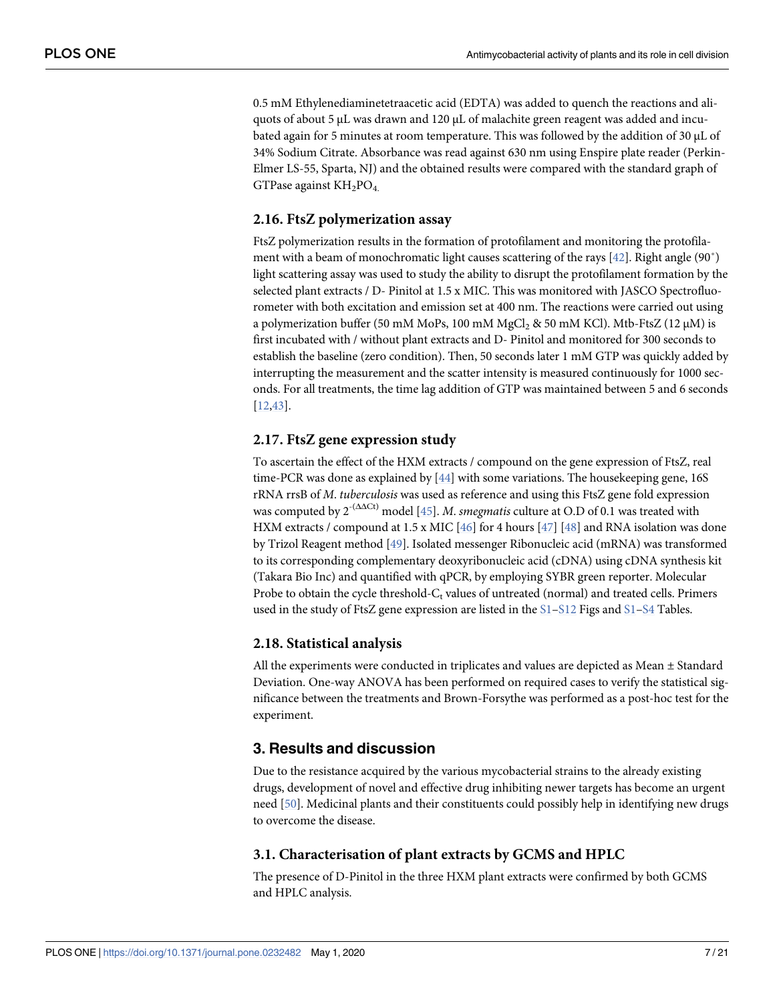<span id="page-6-0"></span>0.5 mM Ethylenediaminetetraacetic acid (EDTA) was added to quench the reactions and aliquots of about 5 μL was drawn and 120 μL of malachite green reagent was added and incubated again for 5 minutes at room temperature. This was followed by the addition of 30 μL of 34% Sodium Citrate. Absorbance was read against 630 nm using Enspire plate reader (Perkin-Elmer LS-55, Sparta, NJ) and the obtained results were compared with the standard graph of GTPase against  $KH_2PO_4$ .

# **2.16. FtsZ polymerization assay**

FtsZ polymerization results in the formation of protofilament and monitoring the protofilament with a beam of monochromatic light causes scattering of the rays [\[42\]](#page-19-0). Right angle (90˚) light scattering assay was used to study the ability to disrupt the protofilament formation by the selected plant extracts / D- Pinitol at 1.5 x MIC. This was monitored with JASCO Spectrofluorometer with both excitation and emission set at 400 nm. The reactions were carried out using a polymerization buffer (50 mM MoPs, 100 mM MgCl<sub>2</sub> & 50 mM KCl). Mtb-FtsZ (12  $\mu$ M) is first incubated with / without plant extracts and D- Pinitol and monitored for 300 seconds to establish the baseline (zero condition). Then, 50 seconds later 1 mM GTP was quickly added by interrupting the measurement and the scatter intensity is measured continuously for 1000 seconds. For all treatments, the time lag addition of GTP was maintained between 5 and 6 seconds [\[12,](#page-17-0)[43\]](#page-19-0).

# **2.17. FtsZ gene expression study**

To ascertain the effect of the HXM extracts / compound on the gene expression of FtsZ, real time-PCR was done as explained by [[44](#page-19-0)] with some variations. The housekeeping gene, 16S rRNA rrsB of M. tuberculosis was used as reference and using this FtsZ gene fold expression was computed by  $2^{-(\Delta\Delta Ct)}$  model [\[45\]](#page-19-0). M. smegmatis culture at O.D of 0.1 was treated with HXM extracts / compound at 1.5 x MIC  $[46]$  $[46]$  $[46]$  for 4 hours  $[47]$  $[47]$  $[47]$   $[48]$  and RNA isolation was done by Trizol Reagent method [[49\]](#page-19-0). Isolated messenger Ribonucleic acid (mRNA) was transformed to its corresponding complementary deoxyribonucleic acid (cDNA) using cDNA synthesis kit (Takara Bio Inc) and quantified with qPCR, by employing SYBR green reporter. Molecular Probe to obtain the cycle threshold- $C_t$  values of untreated (normal) and treated cells. Primers used in the study of FtsZ gene expression are listed in the  $S1-S12$  Figs and  $S1-S4$  $S1-S4$  Tables.

### **2.18. Statistical analysis**

All the experiments were conducted in triplicates and values are depicted as Mean ± Standard Deviation. One-way ANOVA has been performed on required cases to verify the statistical significance between the treatments and Brown-Forsythe was performed as a post-hoc test for the experiment.

# **3. Results and discussion**

Due to the resistance acquired by the various mycobacterial strains to the already existing drugs, development of novel and effective drug inhibiting newer targets has become an urgent need [[50](#page-19-0)]. Medicinal plants and their constituents could possibly help in identifying new drugs to overcome the disease.

### **3.1. Characterisation of plant extracts by GCMS and HPLC**

The presence of D-Pinitol in the three HXM plant extracts were confirmed by both GCMS and HPLC analysis.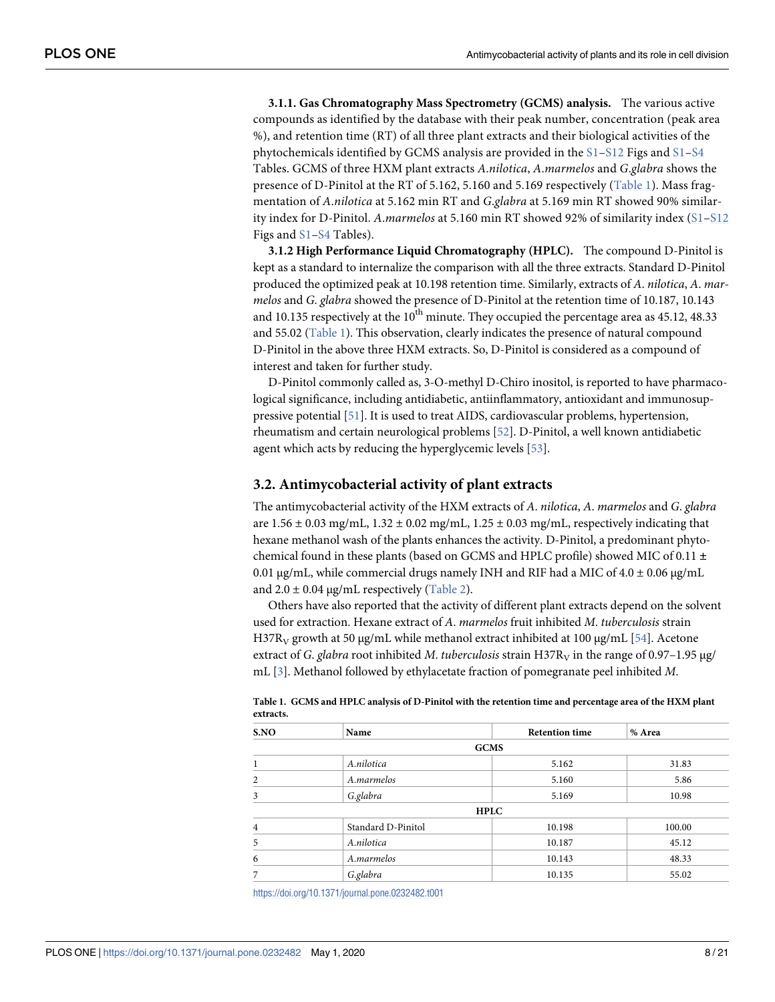<span id="page-7-0"></span>**3.1.1. Gas Chromatography Mass Spectrometry (GCMS) analysis.** The various active compounds as identified by the database with their peak number, concentration (peak area %), and retention time (RT) of all three plant extracts and their biological activities of the phytochemicals identified by GCMS analysis are provided in the  $S1-S12$  Figs and  $S1-S4$  $S1-S4$ Tables. GCMS of three HXM plant extracts A.nilotica, A.marmelos and G.glabra shows the presence of D-Pinitol at the RT of 5.162, 5.160 and 5.169 respectively (Table 1). Mass fragmentation of A.nilotica at 5.162 min RT and G.glabra at 5.169 min RT showed 90% similarity index for D-Pinitol. A.marmelos at 5.160 min RT showed 92% of similarity index [\(S1–S12](#page-16-0) Figs and  $S1-S4$  $S1-S4$  Tables).

**3.1.2 High Performance Liquid Chromatography (HPLC).** The compound D-Pinitol is kept as a standard to internalize the comparison with all the three extracts. Standard D-Pinitol produced the optimized peak at 10.198 retention time. Similarly, extracts of A. nilotica, A. marmelos and G. glabra showed the presence of D-Pinitol at the retention time of 10.187, 10.143 and 10.135 respectively at the  $10^{th}$  minute. They occupied the percentage area as 45.12, 48.33 and 55.02 (Table 1). This observation, clearly indicates the presence of natural compound D-Pinitol in the above three HXM extracts. So, D-Pinitol is considered as a compound of interest and taken for further study.

D-Pinitol commonly called as, 3-O-methyl D-Chiro inositol, is reported to have pharmacological significance, including antidiabetic, antiinflammatory, antioxidant and immunosuppressive potential [\[51](#page-19-0)]. It is used to treat AIDS, cardiovascular problems, hypertension, rheumatism and certain neurological problems [[52](#page-19-0)]. D-Pinitol, a well known antidiabetic agent which acts by reducing the hyperglycemic levels [[53](#page-19-0)].

#### **3.2. Antimycobacterial activity of plant extracts**

The antimycobacterial activity of the HXM extracts of A. nilotica, A. marmelos and G. glabra are  $1.56 \pm 0.03$  mg/mL,  $1.32 \pm 0.02$  mg/mL,  $1.25 \pm 0.03$  mg/mL, respectively indicating that hexane methanol wash of the plants enhances the activity. D-Pinitol, a predominant phytochemical found in these plants (based on GCMS and HPLC profile) showed MIC of 0.11 **±** 0.01 μg/mL, while commercial drugs namely INH and RIF had a MIC of  $4.0 \pm 0.06$  μg/mL and  $2.0 \pm 0.04$  µg/mL respectively [\(Table 2](#page-8-0)).

Others have also reported that the activity of different plant extracts depend on the solvent used for extraction. Hexane extract of A. marmelos fruit inhibited M. tuberculosis strain H37R<sub>V</sub> growth at 50 μg/mL while methanol extract inhibited at 100 μg/mL [[54](#page-19-0)]. Acetone extract of G. glabra root inhibited M. tuberculosis strain H37R<sub>V</sub> in the range of 0.97–1.95 µg/ mL [\[3\]](#page-17-0). Methanol followed by ethylacetate fraction of pomegranate peel inhibited M.

| S.NO           | Name               | <b>Retention time</b> | % Area |  |
|----------------|--------------------|-----------------------|--------|--|
|                |                    | <b>GCMS</b>           |        |  |
| 1              | A.nilotica         | 5.162                 | 31.83  |  |
| $\overline{2}$ | A.marmelos         | 5.160                 | 5.86   |  |
| 3              | G.glabra           | 5.169                 | 10.98  |  |
|                |                    | <b>HPLC</b>           |        |  |
| $\overline{4}$ | Standard D-Pinitol | 10.198                | 100.00 |  |
| 5              | A.nilotica         | 10.187                | 45.12  |  |
| 6              | A.marmelos         | 10.143                | 48.33  |  |
| 7              | G.glabra           | 10.135                | 55.02  |  |

| Table 1. GCMS and HPLC analysis of D-Pinitol with the retention time and percentage area of the HXM plant |  |
|-----------------------------------------------------------------------------------------------------------|--|
| extracts.                                                                                                 |  |

<https://doi.org/10.1371/journal.pone.0232482.t001>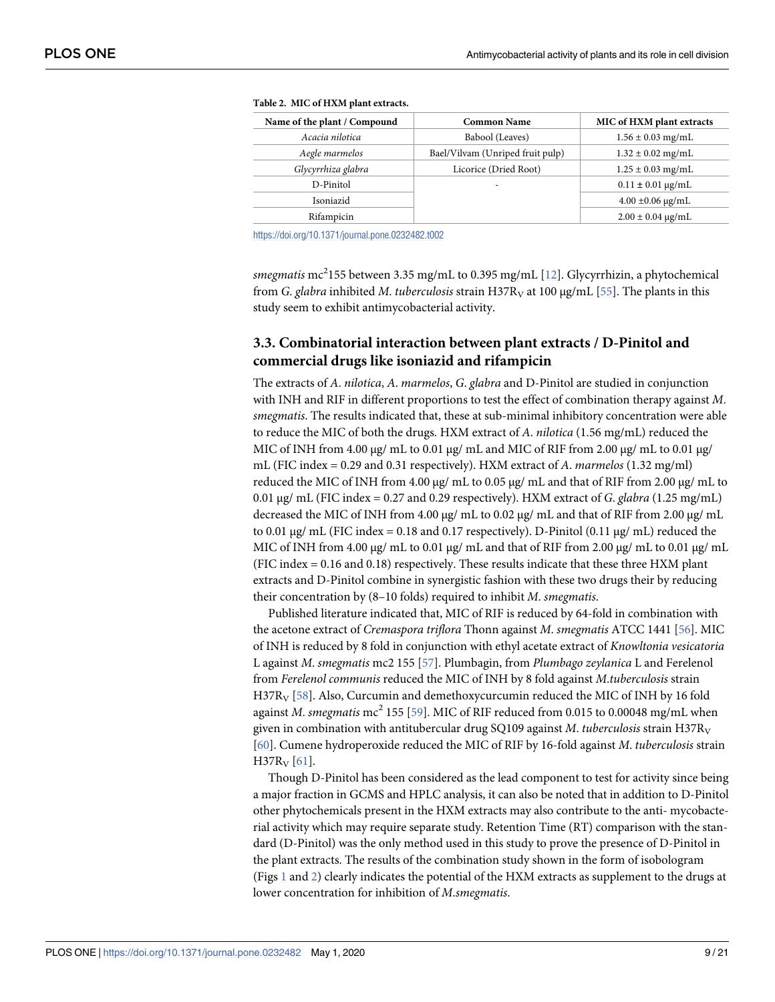| Babool (Leaves)                  | $1.56 \pm 0.03$ mg/mL      |
|----------------------------------|----------------------------|
| Bael/Vilvam (Unriped fruit pulp) | $1.32 \pm 0.02$ mg/mL      |
| Licorice (Dried Root)            | $1.25 \pm 0.03$ mg/mL      |
|                                  | $0.11 \pm 0.01 \,\mu g/mL$ |
|                                  | $4.00 \pm 0.06 \,\mu g/mL$ |
|                                  | $2.00 \pm 0.04 \,\mu g/mL$ |
|                                  |                            |

<span id="page-8-0"></span>

| Table 2. MIC of HXM plant extracts. |  |
|-------------------------------------|--|
|-------------------------------------|--|

<https://doi.org/10.1371/journal.pone.0232482.t002>

smegmatis  $\mathrm{mc}^2$ 155 between 3.35 mg/mL to 0.395 mg/mL [<u>[12](#page-17-0)</u>]. Glycyrrhizin, a phytochemical from G. glabra inhibited M. tuberculosis strain H37R<sub>V</sub> at 100 μg/mL [\[55\]](#page-19-0). The plants in this study seem to exhibit antimycobacterial activity.

# **3.3. Combinatorial interaction between plant extracts / D-Pinitol and commercial drugs like isoniazid and rifampicin**

The extracts of A. nilotica, A. marmelos, G. glabra and D-Pinitol are studied in conjunction with INH and RIF in different proportions to test the effect of combination therapy against M. smegmatis. The results indicated that, these at sub-minimal inhibitory concentration were able to reduce the MIC of both the drugs. HXM extract of A. nilotica (1.56 mg/mL) reduced the MIC of INH from 4.00 μg/ mL to 0.01 μg/ mL and MIC of RIF from 2.00 μg/ mL to 0.01 μg/ mL (FIC index = 0.29 and 0.31 respectively). HXM extract of A. marmelos (1.32 mg/ml) reduced the MIC of INH from 4.00 μg/ mL to 0.05 μg/ mL and that of RIF from 2.00 μg/ mL to 0.01 μg/ mL (FIC index = 0.27 and 0.29 respectively). HXM extract of G. glabra (1.25 mg/mL) decreased the MIC of INH from 4.00 μg/ mL to 0.02 μg/ mL and that of RIF from 2.00 μg/ mL to 0.01 μg/ mL (FIC index = 0.18 and 0.17 respectively). D-Pinitol (0.11 μg/ mL) reduced the MIC of INH from 4.00 μg/ mL to 0.01 μg/ mL and that of RIF from 2.00 μg/ mL to 0.01 μg/ mL (FIC index = 0.16 and 0.18) respectively. These results indicate that these three HXM plant extracts and D-Pinitol combine in synergistic fashion with these two drugs their by reducing their concentration by (8–10 folds) required to inhibit M. smegmatis.

Published literature indicated that, MIC of RIF is reduced by 64-fold in combination with the acetone extract of Cremaspora triflora Thonn against M. smegmatis ATCC 1441 [\[56\]](#page-19-0). MIC of INH is reduced by 8 fold in conjunction with ethyl acetate extract of Knowltonia vesicatoria L against M. smegmatis mc2 155 [[57](#page-19-0)]. Plumbagin, from Plumbago zeylanica L and Ferelenol from Ferelenol communis reduced the MIC of INH by 8 fold against M.tuberculosis strain  $H37R_V$  [\[58\]](#page-19-0). Also, Curcumin and demethoxycurcumin reduced the MIC of INH by 16 fold against *M. smegmatis*  $\text{mc}^2$  155 [[59](#page-19-0)]. MIC of RIF reduced from 0.015 to 0.00048 mg/mL when given in combination with antitubercular drug SQ109 against M. tuberculosis strain H37R<sub>V</sub> [\[60\]](#page-19-0). Cumene hydroperoxide reduced the MIC of RIF by 16-fold against M. tuberculosis strain  $H37R_V [61]$  $H37R_V [61]$ .

Though D-Pinitol has been considered as the lead component to test for activity since being a major fraction in GCMS and HPLC analysis, it can also be noted that in addition to D-Pinitol other phytochemicals present in the HXM extracts may also contribute to the anti- mycobacterial activity which may require separate study. Retention Time (RT) comparison with the standard (D-Pinitol) was the only method used in this study to prove the presence of D-Pinitol in the plant extracts. The results of the combination study shown in the form of isobologram (Figs  $\perp$  and  $\perp$ ) clearly indicates the potential of the HXM extracts as supplement to the drugs at lower concentration for inhibition of M.smegmatis.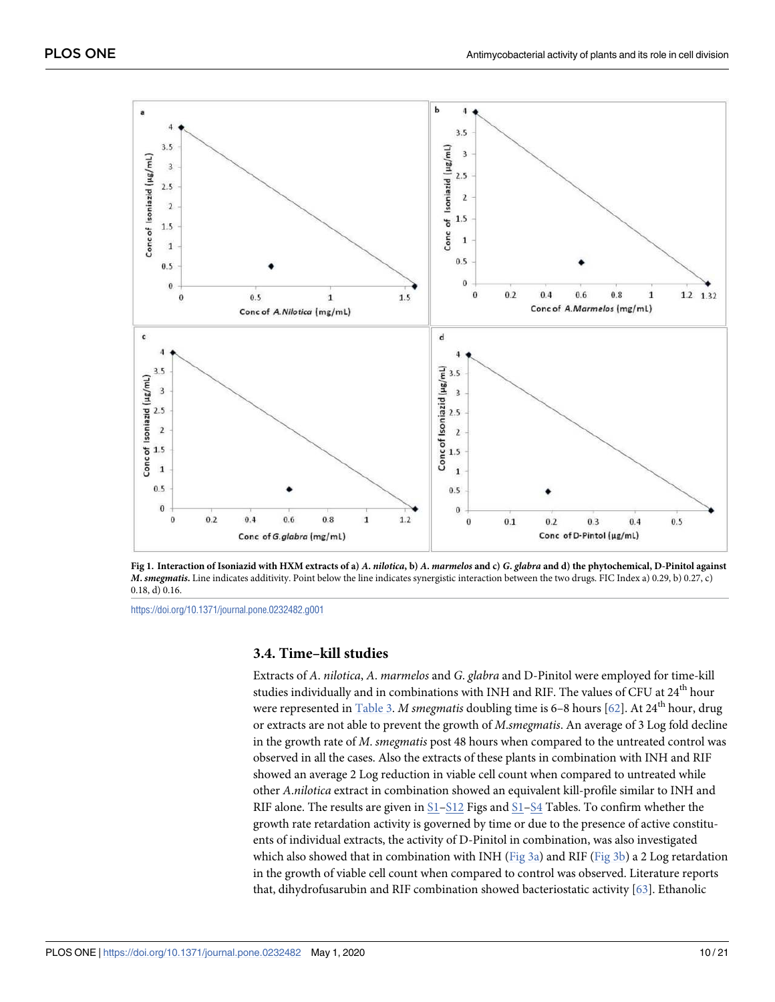<span id="page-9-0"></span>

[Fig 1.](#page-8-0) Interaction of Isoniazid with HXM extracts of a) A. nilotica, b) A. marmelos and c) G. glabra and d) the phytochemical, D-Pinitol against **M. smegmatis.** Line indicates additivity. Point below the line indicates synergistic interaction between the two drugs. FIC Index a) 0.29, b) 0.27, c) 0.18, d) 0.16.

<https://doi.org/10.1371/journal.pone.0232482.g001>

# **3.4. Time–kill studies**

Extracts of A. nilotica, A. marmelos and G. glabra and D-Pinitol were employed for time-kill studies individually and in combinations with INH and RIF. The values of CFU at 24<sup>th</sup> hour were represented in [Table 3.](#page-11-0) M smegmatis doubling time is 6-8 hours [[62](#page-20-0)]. At 24<sup>th</sup> hour, drug or extracts are not able to prevent the growth of M.smegmatis. An average of 3 Log fold decline in the growth rate of M. smegmatis post 48 hours when compared to the untreated control was observed in all the cases. Also the extracts of these plants in combination with INH and RIF showed an average 2 Log reduction in viable cell count when compared to untreated while other A.nilotica extract in combination showed an equivalent kill-profile similar to INH and RIF alone. The results are given in  $S1-S12$  $S1-S12$  Figs and  $S1-S4$  Tables. To confirm whether the growth rate retardation activity is governed by time or due to the presence of active constituents of individual extracts, the activity of D-Pinitol in combination, was also investigated which also showed that in combination with INH [\(Fig 3a](#page-11-0)) and RIF ([Fig 3b](#page-11-0)) a 2 Log retardation in the growth of viable cell count when compared to control was observed. Literature reports that, dihydrofusarubin and RIF combination showed bacteriostatic activity [[63](#page-20-0)]. Ethanolic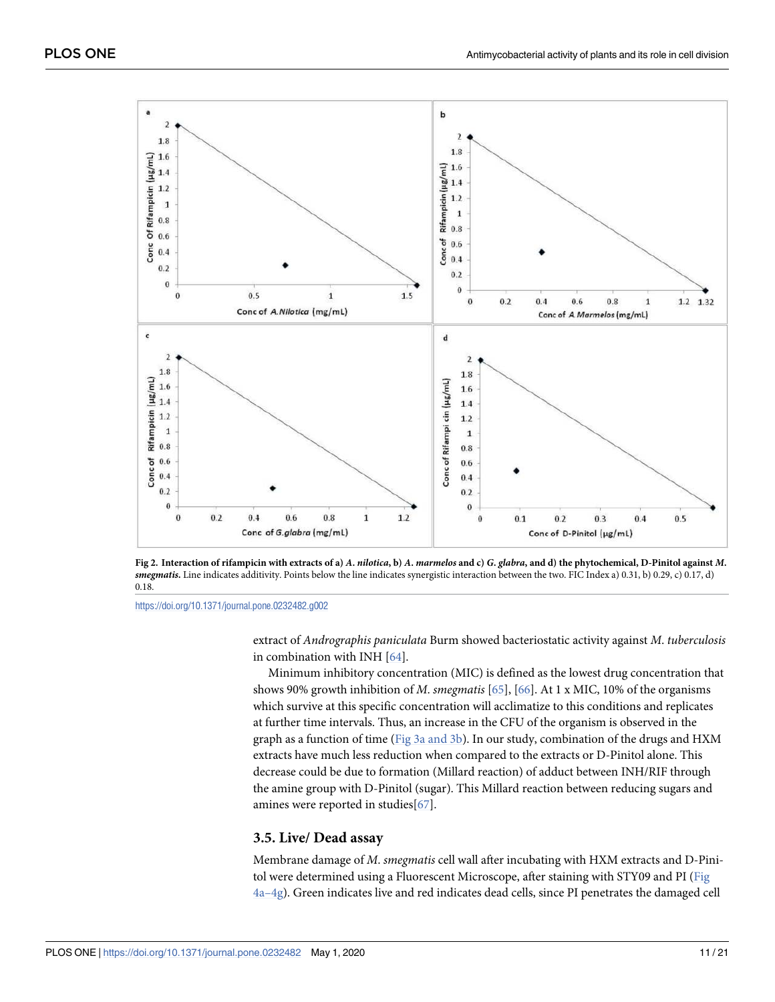<span id="page-10-0"></span>

[Fig 2. I](#page-8-0)nteraction of rifampicin with extracts of a) A. nilotica, b) A. marmelos and c) G. glabra, and d) the phytochemical, D-Pinitol against M. **smegmatis.** Line indicates additivity. Points below the line indicates synergistic interaction between the two. FIC Index a) 0.31, b) 0.29, c) 0.17, d) 0.18.

<https://doi.org/10.1371/journal.pone.0232482.g002>

extract of Andrographis paniculata Burm showed bacteriostatic activity against M. tuberculosis in combination with INH [[64](#page-20-0)].

Minimum inhibitory concentration (MIC) is defined as the lowest drug concentration that shows 90% growth inhibition of M. smegmatis [[65](#page-20-0)], [[66](#page-20-0)]. At 1 x MIC, 10% of the organisms which survive at this specific concentration will acclimatize to this conditions and replicates at further time intervals. Thus, an increase in the CFU of the organism is observed in the graph as a function of time [\(Fig 3a and 3b](#page-11-0)). In our study, combination of the drugs and HXM extracts have much less reduction when compared to the extracts or D-Pinitol alone. This decrease could be due to formation (Millard reaction) of adduct between INH/RIF through the amine group with D-Pinitol (sugar). This Millard reaction between reducing sugars and amines were reported in studies[[67](#page-20-0)].

### **3.5. Live/ Dead assay**

Membrane damage of M. smegmatis cell wall after incubating with HXM extracts and D-Pini-tol were determined using a Fluorescent Microscope, after staining with STY09 and PI [\(Fig](#page-12-0) [4a–4g\)](#page-12-0). Green indicates live and red indicates dead cells, since PI penetrates the damaged cell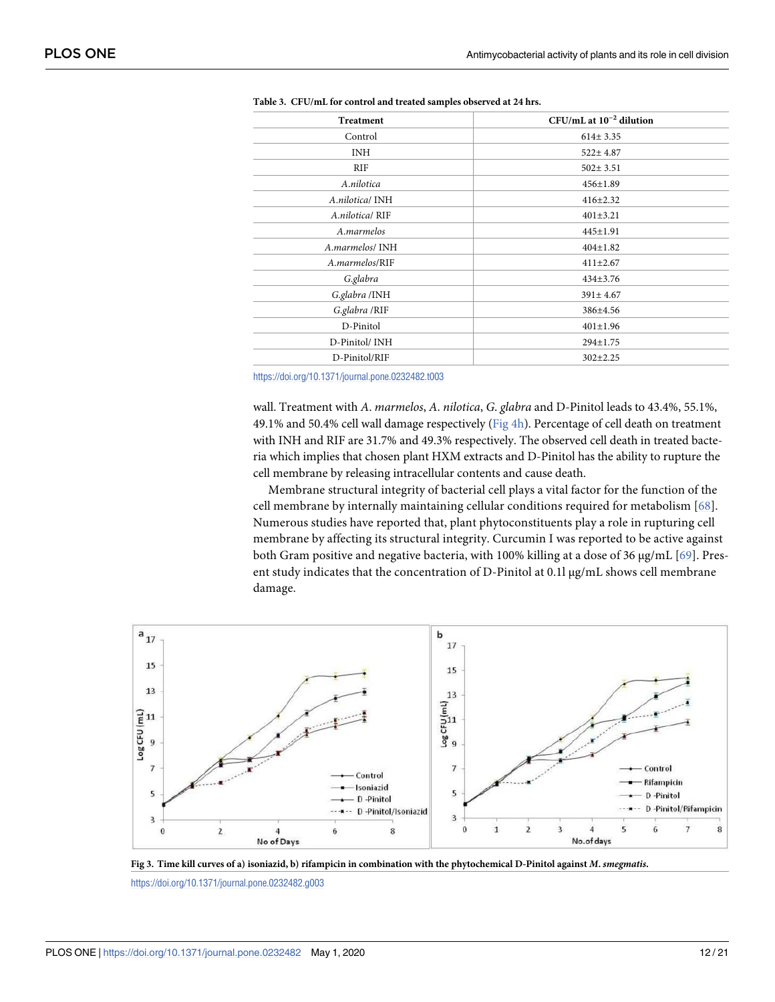| <b>Treatment</b> | $CFU/mL$ at $10^{-2}$ dilution |  |  |
|------------------|--------------------------------|--|--|
| Control          | $614 \pm 3.35$                 |  |  |
| <b>INH</b>       | $522 \pm 4.87$                 |  |  |
| <b>RIF</b>       | $502 \pm 3.51$                 |  |  |
| A.nilotica       | 456±1.89                       |  |  |
| A.nilotica/ INH  | $416 \pm 2.32$                 |  |  |
| A.nilotica/RIF   | $401 \pm 3.21$                 |  |  |
| A.marmelos       | $445 \pm 1.91$                 |  |  |
| A.marmelos/ INH  | $404 \pm 1.82$                 |  |  |
| A.marmelos/RIF   | $411 \pm 2.67$                 |  |  |
| G.glabra         | 434±3.76                       |  |  |
| G.glabra /INH    | $391 \pm 4.67$                 |  |  |
| G.glabra /RIF    | 386±4.56                       |  |  |
| D-Pinitol        | $401 \pm 1.96$                 |  |  |
| D-Pinitol/INH    | 294±1.75                       |  |  |
| D-Pinitol/RIF    | $302 \pm 2.25$                 |  |  |
|                  |                                |  |  |

<span id="page-11-0"></span>

<https://doi.org/10.1371/journal.pone.0232482.t003>

wall. Treatment with A. marmelos, A. nilotica, G. glabra and D-Pinitol leads to 43.4%, 55.1%, 49.1% and 50.4% cell wall damage respectively [\(Fig 4h](#page-12-0)). Percentage of cell death on treatment with INH and RIF are 31.7% and 49.3% respectively. The observed cell death in treated bacteria which implies that chosen plant HXM extracts and D-Pinitol has the ability to rupture the cell membrane by releasing intracellular contents and cause death.

Membrane structural integrity of bacterial cell plays a vital factor for the function of the cell membrane by internally maintaining cellular conditions required for metabolism [[68\]](#page-20-0). Numerous studies have reported that, plant phytoconstituents play a role in rupturing cell membrane by affecting its structural integrity. Curcumin I was reported to be active against both Gram positive and negative bacteria, with 100% killing at a dose of 36 μg/mL [\[69\]](#page-20-0). Present study indicates that the concentration of D-Pinitol at 0.1l μg/mL shows cell membrane damage.





<https://doi.org/10.1371/journal.pone.0232482.g003>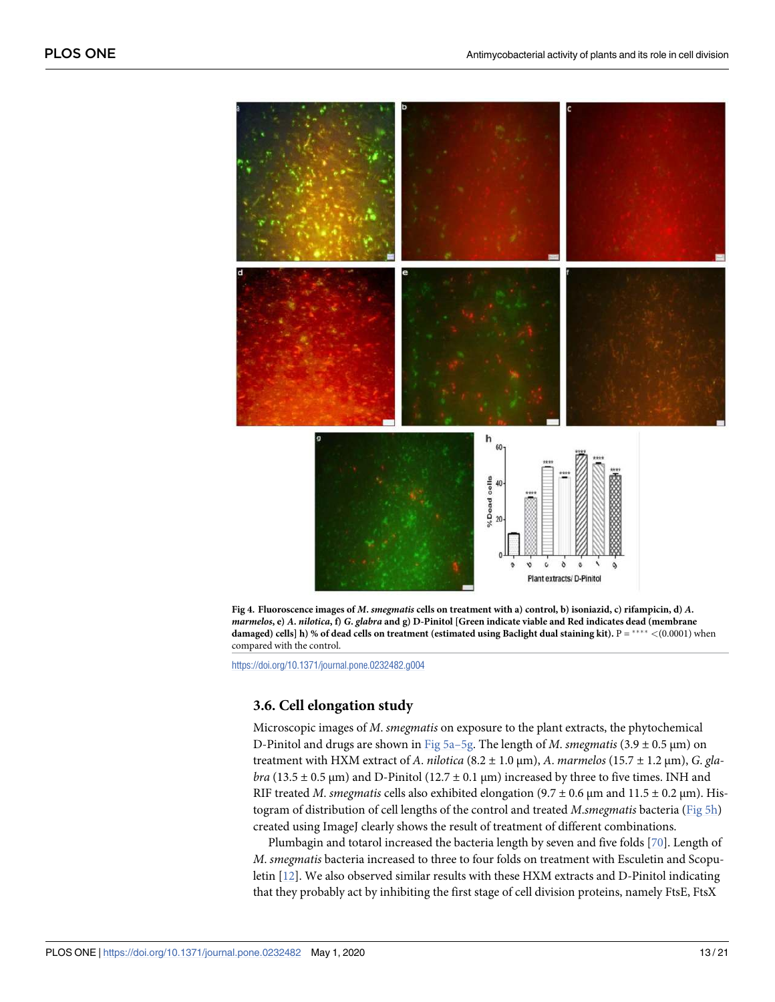<span id="page-12-0"></span>

**[Fig 4. F](#page-10-0)luoroscence images of M. smegmatis cells on treatment with a) control, b) isoniazid, c) rifampicin, d) A. marmelos, e) A. nilotica, f) G. glabra and g) D-Pinitol [Green indicate viable and Red indicates dead (membrane damaged) cells] h) % of dead cells on treatment (estimated using Baclight dual staining kit). P = \*\*\*\* < (0.0001)** when compared with the control.

<https://doi.org/10.1371/journal.pone.0232482.g004>

### **3.6. Cell elongation study**

Microscopic images of M. smegmatis on exposure to the plant extracts, the phytochemical D-Pinitol and drugs are shown in Fig  $5a-5g$ . The length of M. smegmatis (3.9  $\pm$  0.5  $\mu$ m) on treatment with HXM extract of A. nilotica  $(8.2 \pm 1.0 \,\text{\ensuremath{\mu}m})$ , A. marmelos  $(15.7 \pm 1.2 \,\text{\ensuremath{\mu}m})$ , G. glabra (13.5  $\pm$  0.5 µm) and D-Pinitol (12.7  $\pm$  0.1 µm) increased by three to five times. INH and RIF treated *M. smegmatis* cells also exhibited elongation ( $9.7 \pm 0.6$  µm and  $11.5 \pm 0.2$  µm). Histogram of distribution of cell lengths of the control and treated M.smegmatis bacteria [\(Fig 5h](#page-13-0)) created using ImageJ clearly shows the result of treatment of different combinations.

Plumbagin and totarol increased the bacteria length by seven and five folds [[70](#page-20-0)]. Length of M. smegmatis bacteria increased to three to four folds on treatment with Esculetin and Scopuletin [\[12\]](#page-17-0). We also observed similar results with these HXM extracts and D-Pinitol indicating that they probably act by inhibiting the first stage of cell division proteins, namely FtsE, FtsX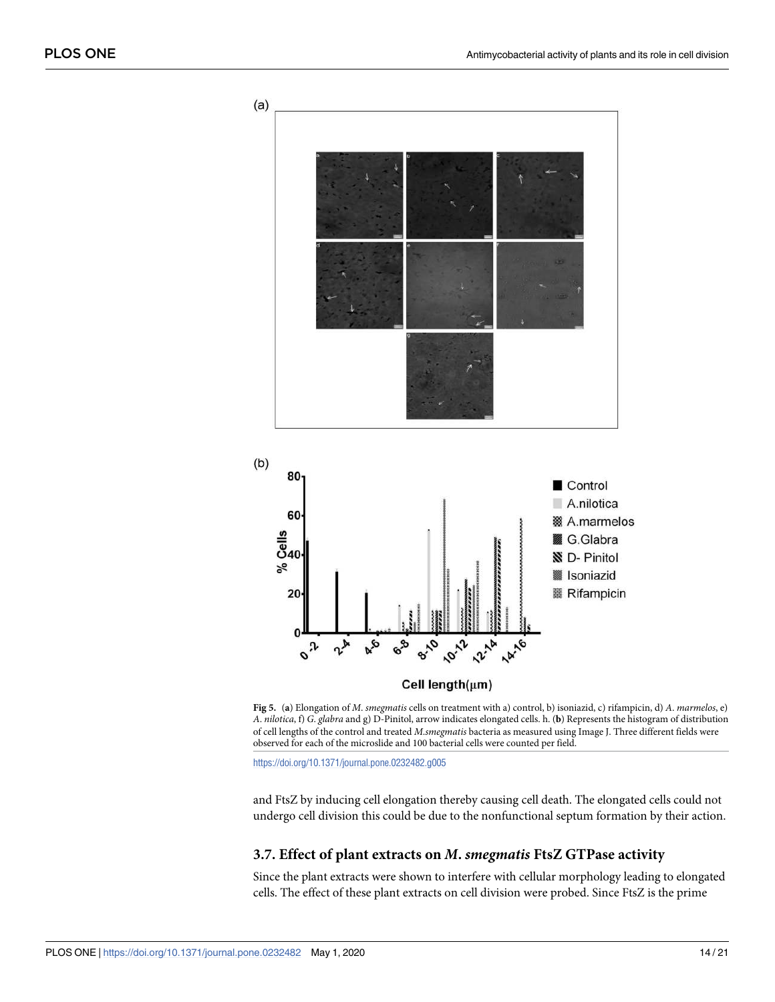<span id="page-13-0"></span>

**[Fig 5.](#page-12-0)** (**a**) Elongation of M. smegmatis cells on treatment with a) control, b) isoniazid, c) rifampicin, d) A. marmelos, e) A. nilotica, f) G. glabra and g) D-Pinitol, arrow indicates elongated cells. h. (**b**) Represents the histogram of distribution of cell lengths of the control and treated M.smegmatis bacteria as measured using Image J. Three different fields were observed for each of the microslide and 100 bacterial cells were counted per field.

<https://doi.org/10.1371/journal.pone.0232482.g005>

and FtsZ by inducing cell elongation thereby causing cell death. The elongated cells could not undergo cell division this could be due to the nonfunctional septum formation by their action.

#### **3.7. Effect of plant extracts on M. smegmatis FtsZ GTPase activity**

Since the plant extracts were shown to interfere with cellular morphology leading to elongated cells. The effect of these plant extracts on cell division were probed. Since FtsZ is the prime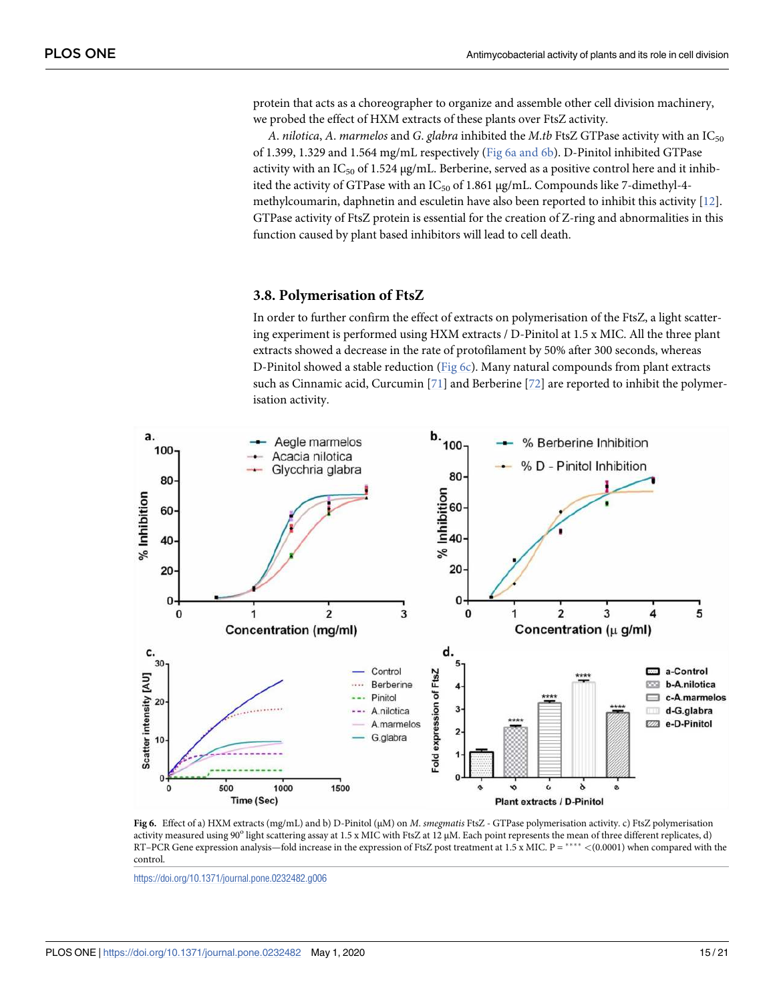<span id="page-14-0"></span>protein that acts as a choreographer to organize and assemble other cell division machinery, we probed the effect of HXM extracts of these plants over FtsZ activity.

A. nilotica, A. marmelos and G. glabra inhibited the M.tb FtsZ GTPase activity with an  $IC_{50}$ of 1.399, 1.329 and 1.564 mg/mL respectively (Fig 6a and 6b). D-Pinitol inhibited GTPase activity with an IC<sub>50</sub> of 1.524  $\mu$ g/mL. Berberine, served as a positive control here and it inhibited the activity of GTPase with an IC<sub>50</sub> of 1.861 μg/mL. Compounds like 7-dimethyl-4methylcoumarin, daphnetin and esculetin have also been reported to inhibit this activity [[12](#page-17-0)]. GTPase activity of FtsZ protein is essential for the creation of Z-ring and abnormalities in this function caused by plant based inhibitors will lead to cell death.

#### **3.8. Polymerisation of FtsZ**

In order to further confirm the effect of extracts on polymerisation of the FtsZ, a light scattering experiment is performed using HXM extracts / D-Pinitol at 1.5 x MIC. All the three plant extracts showed a decrease in the rate of protofilament by 50% after 300 seconds, whereas D-Pinitol showed a stable reduction ( $Fig 6c$ ). Many natural compounds from plant extracts such as Cinnamic acid, Curcumin  $[71]$  $[71]$  $[71]$  and Berberine  $[72]$  $[72]$  $[72]$  are reported to inhibit the polymerisation activity.



**Fig 6.** Effect of a) HXM extracts (mg/mL) and b) D-Pinitol (μM) on M. smegmatis FtsZ - GTPase polymerisation activity. c) FtsZ polymerisation activity measured using 90° light scattering assay at 1.5 x MIC with FtsZ at 12 µM. Each point represents the mean of three different replicates, d) RT–PCR Gene expression analysis—fold increase in the expression of FtsZ post treatment at 1.5 x MIC. P = \*\*\*\* <(0.0001) when compared with the control.

<https://doi.org/10.1371/journal.pone.0232482.g006>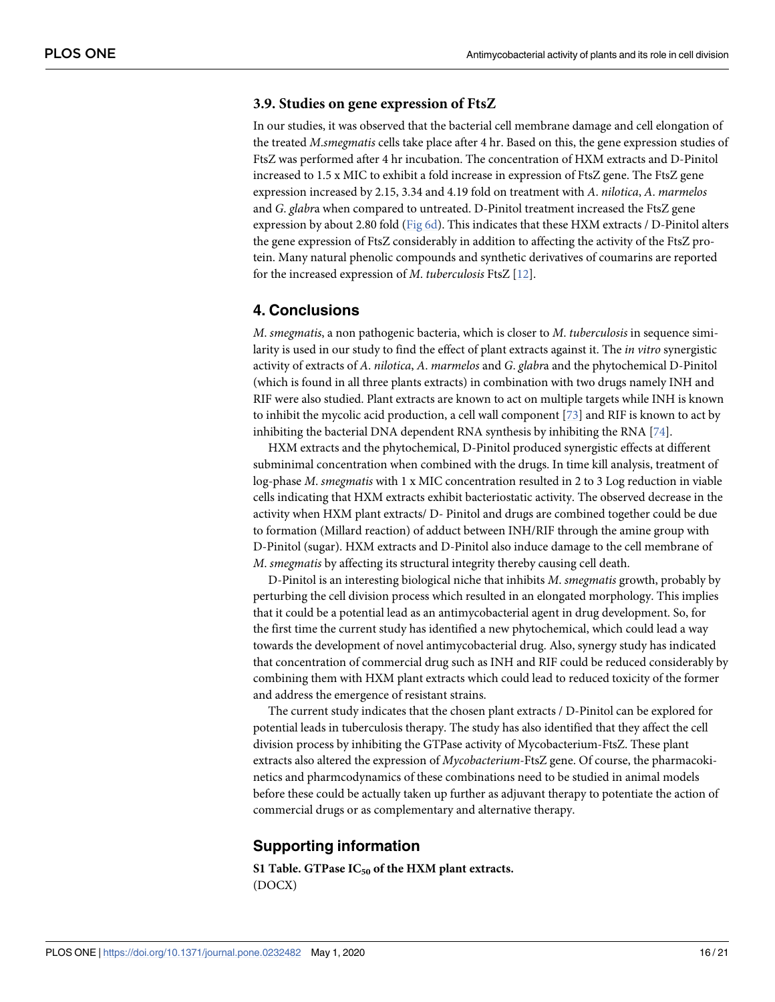# <span id="page-15-0"></span>**3.9. Studies on gene expression of FtsZ**

In our studies, it was observed that the bacterial cell membrane damage and cell elongation of the treated M.smegmatis cells take place after 4 hr. Based on this, the gene expression studies of FtsZ was performed after 4 hr incubation. The concentration of HXM extracts and D-Pinitol increased to 1.5 x MIC to exhibit a fold increase in expression of FtsZ gene. The FtsZ gene expression increased by 2.15, 3.34 and 4.19 fold on treatment with A. nilotica, A. marmelos and G. glabra when compared to untreated. D-Pinitol treatment increased the FtsZ gene expression by about 2.80 fold [\(Fig 6d\)](#page-14-0). This indicates that these HXM extracts / D-Pinitol alters the gene expression of FtsZ considerably in addition to affecting the activity of the FtsZ protein. Many natural phenolic compounds and synthetic derivatives of coumarins are reported for the increased expression of M. tuberculosis FtsZ [\[12\]](#page-17-0).

# **4. Conclusions**

M. smegmatis, a non pathogenic bacteria, which is closer to M. tuberculosis in sequence similarity is used in our study to find the effect of plant extracts against it. The *in vitro* synergistic activity of extracts of A. nilotica, A. marmelos and G. glabra and the phytochemical D-Pinitol (which is found in all three plants extracts) in combination with two drugs namely INH and RIF were also studied. Plant extracts are known to act on multiple targets while INH is known to inhibit the mycolic acid production, a cell wall component [[73](#page-20-0)] and RIF is known to act by inhibiting the bacterial DNA dependent RNA synthesis by inhibiting the RNA [\[74\]](#page-20-0).

HXM extracts and the phytochemical, D-Pinitol produced synergistic effects at different subminimal concentration when combined with the drugs. In time kill analysis, treatment of log-phase M. smegmatis with 1 x MIC concentration resulted in 2 to 3 Log reduction in viable cells indicating that HXM extracts exhibit bacteriostatic activity. The observed decrease in the activity when HXM plant extracts/ D- Pinitol and drugs are combined together could be due to formation (Millard reaction) of adduct between INH/RIF through the amine group with D-Pinitol (sugar). HXM extracts and D-Pinitol also induce damage to the cell membrane of M. smegmatis by affecting its structural integrity thereby causing cell death.

D-Pinitol is an interesting biological niche that inhibits M. smegmatis growth, probably by perturbing the cell division process which resulted in an elongated morphology. This implies that it could be a potential lead as an antimycobacterial agent in drug development. So, for the first time the current study has identified a new phytochemical, which could lead a way towards the development of novel antimycobacterial drug. Also, synergy study has indicated that concentration of commercial drug such as INH and RIF could be reduced considerably by combining them with HXM plant extracts which could lead to reduced toxicity of the former and address the emergence of resistant strains.

The current study indicates that the chosen plant extracts / D-Pinitol can be explored for potential leads in tuberculosis therapy. The study has also identified that they affect the cell division process by inhibiting the GTPase activity of Mycobacterium-FtsZ. These plant extracts also altered the expression of Mycobacterium-FtsZ gene. Of course, the pharmacokinetics and pharmcodynamics of these combinations need to be studied in animal models before these could be actually taken up further as adjuvant therapy to potentiate the action of commercial drugs or as complementary and alternative therapy.

# **Supporting information**

**[S1 Table.](http://www.plosone.org/article/fetchSingleRepresentation.action?uri=info:doi/10.1371/journal.pone.0232482.s001) GTPase IC<sup>50</sup> of the HXM plant extracts.** (DOCX)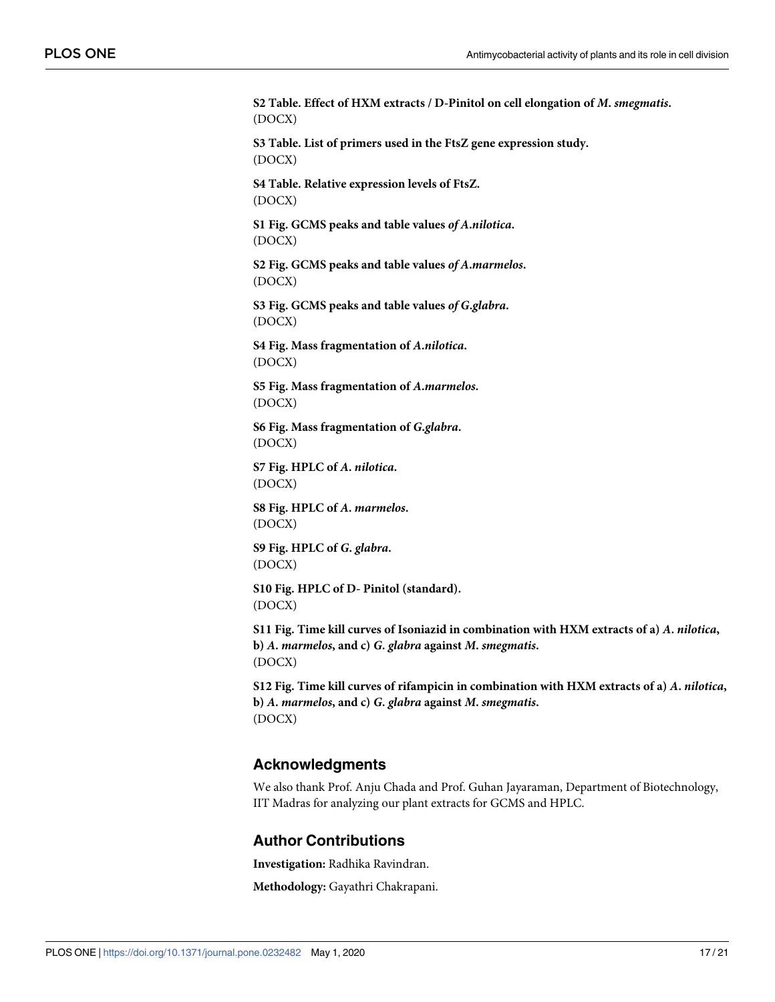<span id="page-16-0"></span>**[S2 Table.](http://www.plosone.org/article/fetchSingleRepresentation.action?uri=info:doi/10.1371/journal.pone.0232482.s002) Effect of HXM extracts / D-Pinitol on cell elongation of M. smegmatis.** (DOCX)

**[S3 Table.](http://www.plosone.org/article/fetchSingleRepresentation.action?uri=info:doi/10.1371/journal.pone.0232482.s003) List of primers used in the FtsZ gene expression study.** (DOCX)

**[S4 Table.](http://www.plosone.org/article/fetchSingleRepresentation.action?uri=info:doi/10.1371/journal.pone.0232482.s004) Relative expression levels of FtsZ.** (DOCX)

**[S1 Fig](http://www.plosone.org/article/fetchSingleRepresentation.action?uri=info:doi/10.1371/journal.pone.0232482.s005). GCMS peaks and table values of A.nilotica.** (DOCX)

**[S2 Fig](http://www.plosone.org/article/fetchSingleRepresentation.action?uri=info:doi/10.1371/journal.pone.0232482.s006). GCMS peaks and table values of A.marmelos.** (DOCX)

**[S3 Fig](http://www.plosone.org/article/fetchSingleRepresentation.action?uri=info:doi/10.1371/journal.pone.0232482.s007). GCMS peaks and table values of G.glabra.** (DOCX)

**[S4 Fig](http://www.plosone.org/article/fetchSingleRepresentation.action?uri=info:doi/10.1371/journal.pone.0232482.s008). Mass fragmentation of A.nilotica.** (DOCX)

**[S5 Fig](http://www.plosone.org/article/fetchSingleRepresentation.action?uri=info:doi/10.1371/journal.pone.0232482.s009). Mass fragmentation of A.marmelos.** (DOCX)

**[S6 Fig](http://www.plosone.org/article/fetchSingleRepresentation.action?uri=info:doi/10.1371/journal.pone.0232482.s010). Mass fragmentation of G.glabra.** (DOCX)

**[S7 Fig](http://www.plosone.org/article/fetchSingleRepresentation.action?uri=info:doi/10.1371/journal.pone.0232482.s011). HPLC of A. nilotica.** (DOCX)

**[S8 Fig](http://www.plosone.org/article/fetchSingleRepresentation.action?uri=info:doi/10.1371/journal.pone.0232482.s012). HPLC of A. marmelos.** (DOCX)

**[S9 Fig](http://www.plosone.org/article/fetchSingleRepresentation.action?uri=info:doi/10.1371/journal.pone.0232482.s013). HPLC of G. glabra.** (DOCX)

**[S10 Fig](http://www.plosone.org/article/fetchSingleRepresentation.action?uri=info:doi/10.1371/journal.pone.0232482.s014). HPLC of D- Pinitol (standard).** (DOCX)

**[S11 Fig](http://www.plosone.org/article/fetchSingleRepresentation.action?uri=info:doi/10.1371/journal.pone.0232482.s015). Time kill curves of Isoniazid in combination with HXM extracts of a) A. nilotica, b) A. marmelos, and c) G. glabra against M. smegmatis.** (DOCX)

**[S12 Fig](http://www.plosone.org/article/fetchSingleRepresentation.action?uri=info:doi/10.1371/journal.pone.0232482.s016). Time kill curves of rifampicin in combination with HXM extracts of a) A. nilotica, b) A. marmelos, and c) G. glabra against M. smegmatis.** (DOCX)

# **Acknowledgments**

We also thank Prof. Anju Chada and Prof. Guhan Jayaraman, Department of Biotechnology, IIT Madras for analyzing our plant extracts for GCMS and HPLC.

# **Author Contributions**

**Investigation:** Radhika Ravindran.

**Methodology:** Gayathri Chakrapani.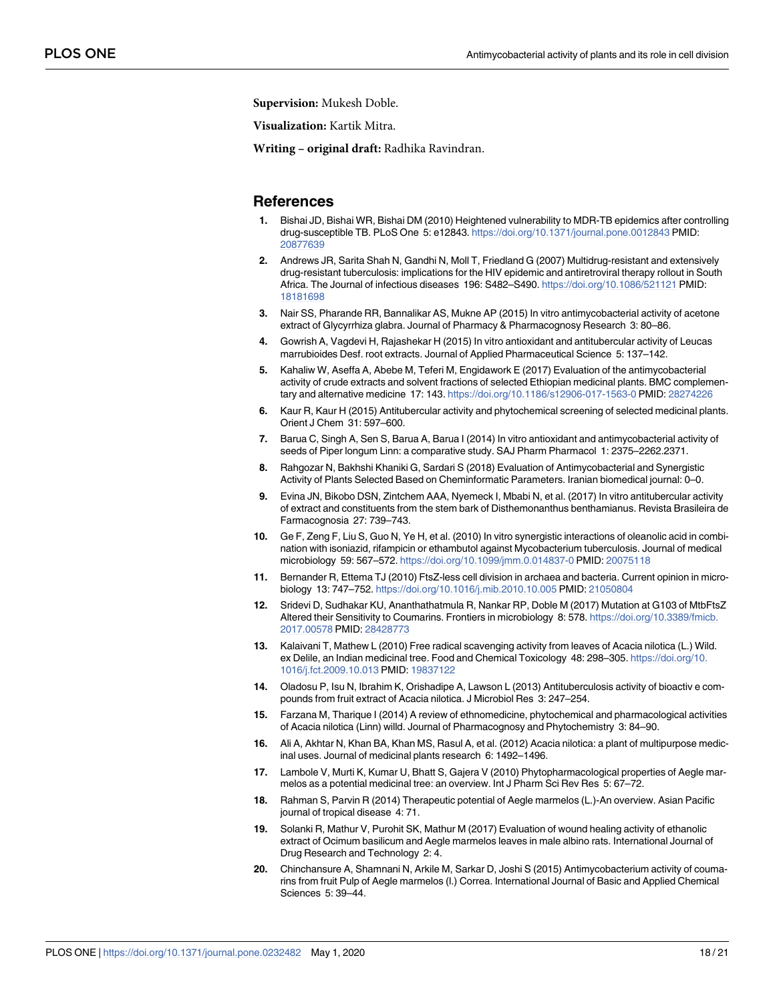<span id="page-17-0"></span>**Supervision:** Mukesh Doble.

**Visualization:** Kartik Mitra.

**Writing – original draft:** Radhika Ravindran.

# **References**

- **[1](#page-1-0).** Bishai JD, Bishai WR, Bishai DM (2010) Heightened vulnerability to MDR-TB epidemics after controlling drug-susceptible TB. PLoS One 5: e12843. <https://doi.org/10.1371/journal.pone.0012843> PMID: [20877639](http://www.ncbi.nlm.nih.gov/pubmed/20877639)
- **[2](#page-1-0).** Andrews JR, Sarita Shah N, Gandhi N, Moll T, Friedland G (2007) Multidrug-resistant and extensively drug-resistant tuberculosis: implications for the HIV epidemic and antiretroviral therapy rollout in South Africa. The Journal of infectious diseases 196: S482–S490. <https://doi.org/10.1086/521121> PMID: [18181698](http://www.ncbi.nlm.nih.gov/pubmed/18181698)
- **[3](#page-1-0).** Nair SS, Pharande RR, Bannalikar AS, Mukne AP (2015) In vitro antimycobacterial activity of acetone extract of Glycyrrhiza glabra. Journal of Pharmacy & Pharmacognosy Research 3: 80–86.
- **[4](#page-1-0).** Gowrish A, Vagdevi H, Rajashekar H (2015) In vitro antioxidant and antitubercular activity of Leucas marrubioides Desf. root extracts. Journal of Applied Pharmaceutical Science 5: 137–142.
- **[5](#page-1-0).** Kahaliw W, Aseffa A, Abebe M, Teferi M, Engidawork E (2017) Evaluation of the antimycobacterial activity of crude extracts and solvent fractions of selected Ethiopian medicinal plants. BMC complementary and alternative medicine 17: 143. <https://doi.org/10.1186/s12906-017-1563-0> PMID: [28274226](http://www.ncbi.nlm.nih.gov/pubmed/28274226)
- **[6](#page-1-0).** Kaur R, Kaur H (2015) Antitubercular activity and phytochemical screening of selected medicinal plants. Orient J Chem 31: 597–600.
- **[7](#page-1-0).** Barua C, Singh A, Sen S, Barua A, Barua I (2014) In vitro antioxidant and antimycobacterial activity of seeds of Piper longum Linn: a comparative study. SAJ Pharm Pharmacol 1: 2375–2262.2371.
- **[8](#page-1-0).** Rahgozar N, Bakhshi Khaniki G, Sardari S (2018) Evaluation of Antimycobacterial and Synergistic Activity of Plants Selected Based on Cheminformatic Parameters. Iranian biomedical journal: 0–0.
- **[9](#page-1-0).** Evina JN, Bikobo DSN, Zintchem AAA, Nyemeck I, Mbabi N, et al. (2017) In vitro antitubercular activity of extract and constituents from the stem bark of Disthemonanthus benthamianus. Revista Brasileira de Farmacognosia 27: 739–743.
- **[10](#page-1-0).** Ge F, Zeng F, Liu S, Guo N, Ye H, et al. (2010) In vitro synergistic interactions of oleanolic acid in combination with isoniazid, rifampicin or ethambutol against Mycobacterium tuberculosis. Journal of medical microbiology 59: 567–572. <https://doi.org/10.1099/jmm.0.014837-0> PMID: [20075118](http://www.ncbi.nlm.nih.gov/pubmed/20075118)
- **[11](#page-1-0).** Bernander R, Ettema TJ (2010) FtsZ-less cell division in archaea and bacteria. Current opinion in microbiology 13: 747–752. <https://doi.org/10.1016/j.mib.2010.10.005> PMID: [21050804](http://www.ncbi.nlm.nih.gov/pubmed/21050804)
- **[12](#page-1-0).** Sridevi D, Sudhakar KU, Ananthathatmula R, Nankar RP, Doble M (2017) Mutation at G103 of MtbFtsZ Altered their Sensitivity to Coumarins. Frontiers in microbiology 8: 578. [https://doi.org/10.3389/fmicb.](https://doi.org/10.3389/fmicb.2017.00578) [2017.00578](https://doi.org/10.3389/fmicb.2017.00578) PMID: [28428773](http://www.ncbi.nlm.nih.gov/pubmed/28428773)
- **[13](#page-1-0).** Kalaivani T, Mathew L (2010) Free radical scavenging activity from leaves of Acacia nilotica (L.) Wild. ex Delile, an Indian medicinal tree. Food and Chemical Toxicology 48: 298–305. [https://doi.org/10.](https://doi.org/10.1016/j.fct.2009.10.013) [1016/j.fct.2009.10.013](https://doi.org/10.1016/j.fct.2009.10.013) PMID: [19837122](http://www.ncbi.nlm.nih.gov/pubmed/19837122)
- **[14](#page-1-0).** Oladosu P, Isu N, Ibrahim K, Orishadipe A, Lawson L (2013) Antituberculosis activity of bioactiv e compounds from fruit extract of Acacia nilotica. J Microbiol Res 3: 247–254.
- **[15](#page-2-0).** Farzana M, Tharique I (2014) A review of ethnomedicine, phytochemical and pharmacological activities of Acacia nilotica (Linn) willd. Journal of Pharmacognosy and Phytochemistry 3: 84–90.
- **[16](#page-2-0).** Ali A, Akhtar N, Khan BA, Khan MS, Rasul A, et al. (2012) Acacia nilotica: a plant of multipurpose medicinal uses. Journal of medicinal plants research 6: 1492–1496.
- **[17](#page-2-0).** Lambole V, Murti K, Kumar U, Bhatt S, Gajera V (2010) Phytopharmacological properties of Aegle marmelos as a potential medicinal tree: an overview. Int J Pharm Sci Rev Res 5: 67–72.
- **[18](#page-2-0).** Rahman S, Parvin R (2014) Therapeutic potential of Aegle marmelos (L.)-An overview. Asian Pacific journal of tropical disease 4: 71.
- **[19](#page-2-0).** Solanki R, Mathur V, Purohit SK, Mathur M (2017) Evaluation of wound healing activity of ethanolic extract of Ocimum basilicum and Aegle marmelos leaves in male albino rats. International Journal of Drug Research and Technology 2: 4.
- **[20](#page-2-0).** Chinchansure A, Shamnani N, Arkile M, Sarkar D, Joshi S (2015) Antimycobacterium activity of coumarins from fruit Pulp of Aegle marmelos (l.) Correa. International Journal of Basic and Applied Chemical Sciences 5: 39–44.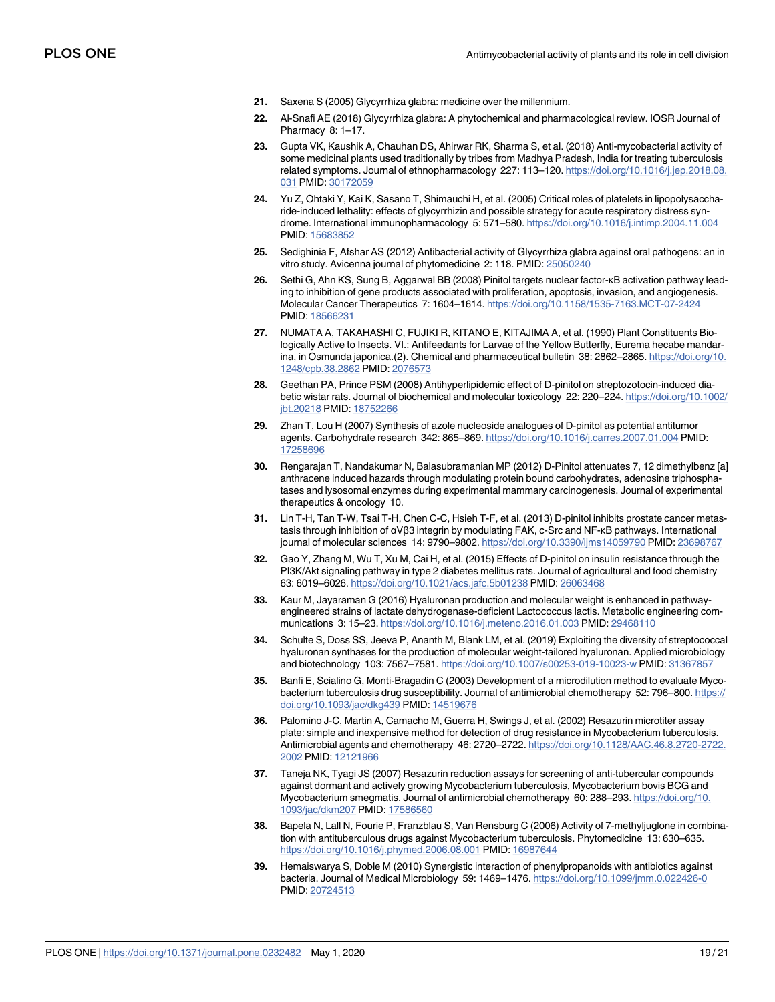- <span id="page-18-0"></span>**[21](#page-2-0).** Saxena S (2005) Glycyrrhiza glabra: medicine over the millennium.
- **[22](#page-2-0).** Al-Snafi AE (2018) Glycyrrhiza glabra: A phytochemical and pharmacological review. IOSR Journal of Pharmacy 8: 1-17.
- **[23](#page-2-0).** Gupta VK, Kaushik A, Chauhan DS, Ahirwar RK, Sharma S, et al. (2018) Anti-mycobacterial activity of some medicinal plants used traditionally by tribes from Madhya Pradesh, India for treating tuberculosis related symptoms. Journal of ethnopharmacology 227: 113–120. [https://doi.org/10.1016/j.jep.2018.08.](https://doi.org/10.1016/j.jep.2018.08.031) [031](https://doi.org/10.1016/j.jep.2018.08.031) PMID: [30172059](http://www.ncbi.nlm.nih.gov/pubmed/30172059)
- **[24](#page-2-0).** Yu Z, Ohtaki Y, Kai K, Sasano T, Shimauchi H, et al. (2005) Critical roles of platelets in lipopolysaccharide-induced lethality: effects of glycyrrhizin and possible strategy for acute respiratory distress syndrome. International immunopharmacology 5: 571–580. <https://doi.org/10.1016/j.intimp.2004.11.004> PMID: [15683852](http://www.ncbi.nlm.nih.gov/pubmed/15683852)
- **[25](#page-2-0).** Sedighinia F, Afshar AS (2012) Antibacterial activity of Glycyrrhiza glabra against oral pathogens: an in vitro study. Avicenna journal of phytomedicine 2: 118. PMID: [25050240](http://www.ncbi.nlm.nih.gov/pubmed/25050240)
- **[26](#page-2-0).** Sethi G, Ahn KS, Sung B, Aggarwal BB (2008) Pinitol targets nuclear factor-κB activation pathway leading to inhibition of gene products associated with proliferation, apoptosis, invasion, and angiogenesis. Molecular Cancer Therapeutics 7: 1604–1614. <https://doi.org/10.1158/1535-7163.MCT-07-2424> PMID: [18566231](http://www.ncbi.nlm.nih.gov/pubmed/18566231)
- **[27](#page-2-0).** NUMATA A, TAKAHASHI C, FUJIKI R, KITANO E, KITAJIMA A, et al. (1990) Plant Constituents Biologically Active to Insects. VI.: Antifeedants for Larvae of the Yellow Butterfly, Eurema hecabe mandarina, in Osmunda japonica.(2). Chemical and pharmaceutical bulletin 38: 2862–2865. [https://doi.org/10.](https://doi.org/10.1248/cpb.38.2862) [1248/cpb.38.2862](https://doi.org/10.1248/cpb.38.2862) PMID: [2076573](http://www.ncbi.nlm.nih.gov/pubmed/2076573)
- **[28](#page-2-0).** Geethan PA, Prince PSM (2008) Antihyperlipidemic effect of D-pinitol on streptozotocin-induced diabetic wistar rats. Journal of biochemical and molecular toxicology 22: 220–224. [https://doi.org/10.1002/](https://doi.org/10.1002/jbt.20218) [jbt.20218](https://doi.org/10.1002/jbt.20218) PMID: [18752266](http://www.ncbi.nlm.nih.gov/pubmed/18752266)
- **[29](#page-2-0).** Zhan T, Lou H (2007) Synthesis of azole nucleoside analogues of D-pinitol as potential antitumor agents. Carbohydrate research 342: 865–869. <https://doi.org/10.1016/j.carres.2007.01.004> PMID: [17258696](http://www.ncbi.nlm.nih.gov/pubmed/17258696)
- **[30](#page-2-0).** Rengarajan T, Nandakumar N, Balasubramanian MP (2012) D-Pinitol attenuates 7, 12 dimethylbenz [a] anthracene induced hazards through modulating protein bound carbohydrates, adenosine triphosphatases and lysosomal enzymes during experimental mammary carcinogenesis. Journal of experimental therapeutics & oncology 10.
- **[31](#page-2-0).** Lin T-H, Tan T-W, Tsai T-H, Chen C-C, Hsieh T-F, et al. (2013) D-pinitol inhibits prostate cancer metastasis through inhibition of αVβ3 integrin by modulating FAK, c-Src and NF-κB pathways. International journal of molecular sciences 14: 9790-9802. <https://doi.org/10.3390/ijms14059790> PMID: [23698767](http://www.ncbi.nlm.nih.gov/pubmed/23698767)
- **[32](#page-2-0).** Gao Y, Zhang M, Wu T, Xu M, Cai H, et al. (2015) Effects of D-pinitol on insulin resistance through the PI3K/Akt signaling pathway in type 2 diabetes mellitus rats. Journal of agricultural and food chemistry 63: 6019–6026. <https://doi.org/10.1021/acs.jafc.5b01238> PMID: [26063468](http://www.ncbi.nlm.nih.gov/pubmed/26063468)
- **[33](#page-4-0).** Kaur M, Jayaraman G (2016) Hyaluronan production and molecular weight is enhanced in pathwayengineered strains of lactate dehydrogenase-deficient Lactococcus lactis. Metabolic engineering communications 3: 15–23. <https://doi.org/10.1016/j.meteno.2016.01.003> PMID: [29468110](http://www.ncbi.nlm.nih.gov/pubmed/29468110)
- **[34](#page-4-0).** Schulte S, Doss SS, Jeeva P, Ananth M, Blank LM, et al. (2019) Exploiting the diversity of streptococcal hyaluronan synthases for the production of molecular weight-tailored hyaluronan. Applied microbiology and biotechnology 103: 7567–7581. <https://doi.org/10.1007/s00253-019-10023-w> PMID: [31367857](http://www.ncbi.nlm.nih.gov/pubmed/31367857)
- **[35](#page-4-0).** Banfi E, Scialino G, Monti-Bragadin C (2003) Development of a microdilution method to evaluate Mycobacterium tuberculosis drug susceptibility. Journal of antimicrobial chemotherapy 52: 796-800. [https://](https://doi.org/10.1093/jac/dkg439) [doi.org/10.1093/jac/dkg439](https://doi.org/10.1093/jac/dkg439) PMID: [14519676](http://www.ncbi.nlm.nih.gov/pubmed/14519676)
- **36.** Palomino J-C, Martin A, Camacho M, Guerra H, Swings J, et al. (2002) Resazurin microtiter assay plate: simple and inexpensive method for detection of drug resistance in Mycobacterium tuberculosis. Antimicrobial agents and chemotherapy 46: 2720–2722. [https://doi.org/10.1128/AAC.46.8.2720-2722.](https://doi.org/10.1128/AAC.46.8.2720-2722.2002) [2002](https://doi.org/10.1128/AAC.46.8.2720-2722.2002) PMID: [12121966](http://www.ncbi.nlm.nih.gov/pubmed/12121966)
- **[37](#page-4-0).** Taneja NK, Tyagi JS (2007) Resazurin reduction assays for screening of anti-tubercular compounds against dormant and actively growing Mycobacterium tuberculosis, Mycobacterium bovis BCG and Mycobacterium smegmatis. Journal of antimicrobial chemotherapy 60: 288–293. [https://doi.org/10.](https://doi.org/10.1093/jac/dkm207) [1093/jac/dkm207](https://doi.org/10.1093/jac/dkm207) PMID: [17586560](http://www.ncbi.nlm.nih.gov/pubmed/17586560)
- **[38](#page-5-0).** Bapela N, Lall N, Fourie P, Franzblau S, Van Rensburg C (2006) Activity of 7-methyljuglone in combination with antituberculous drugs against Mycobacterium tuberculosis. Phytomedicine 13: 630–635. <https://doi.org/10.1016/j.phymed.2006.08.001> PMID: [16987644](http://www.ncbi.nlm.nih.gov/pubmed/16987644)
- **[39](#page-5-0).** Hemaiswarya S, Doble M (2010) Synergistic interaction of phenylpropanoids with antibiotics against bacteria. Journal of Medical Microbiology 59: 1469–1476. <https://doi.org/10.1099/jmm.0.022426-0> PMID: [20724513](http://www.ncbi.nlm.nih.gov/pubmed/20724513)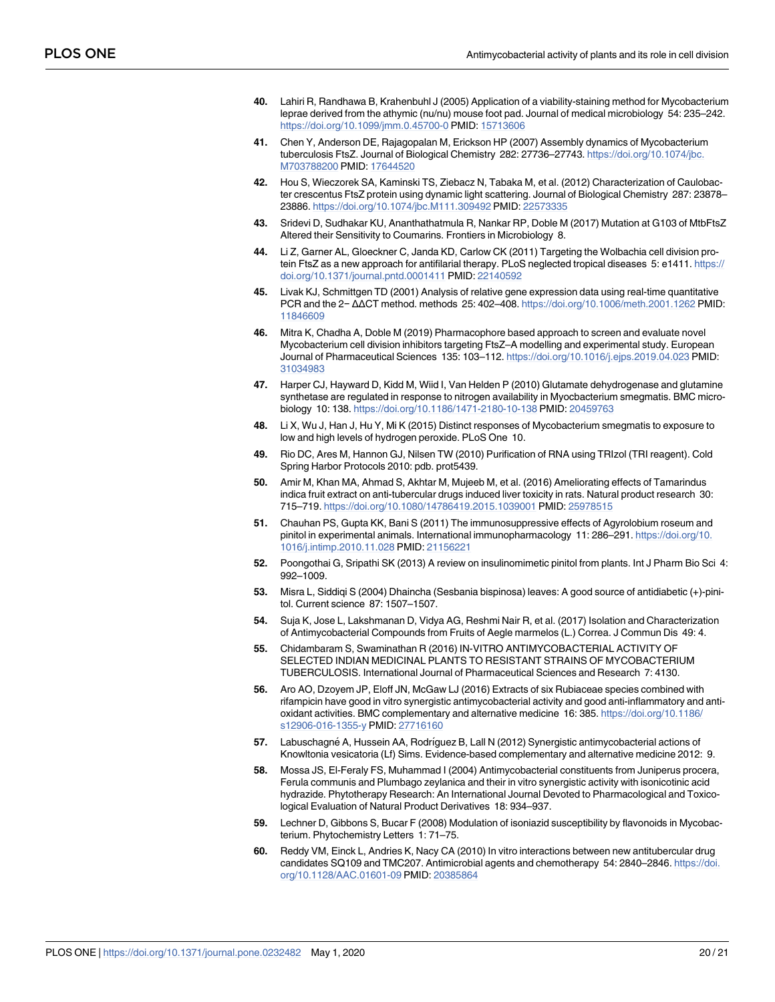- <span id="page-19-0"></span>**[40](#page-5-0).** Lahiri R, Randhawa B, Krahenbuhl J (2005) Application of a viability-staining method for Mycobacterium leprae derived from the athymic (nu/nu) mouse foot pad. Journal of medical microbiology 54: 235–242. <https://doi.org/10.1099/jmm.0.45700-0> PMID: [15713606](http://www.ncbi.nlm.nih.gov/pubmed/15713606)
- **[41](#page-5-0).** Chen Y, Anderson DE, Rajagopalan M, Erickson HP (2007) Assembly dynamics of Mycobacterium tuberculosis FtsZ. Journal of Biological Chemistry 282: 27736–27743. [https://doi.org/10.1074/jbc.](https://doi.org/10.1074/jbc.M703788200) [M703788200](https://doi.org/10.1074/jbc.M703788200) PMID: [17644520](http://www.ncbi.nlm.nih.gov/pubmed/17644520)
- **[42](#page-6-0).** Hou S, Wieczorek SA, Kaminski TS, Ziebacz N, Tabaka M, et al. (2012) Characterization of Caulobacter crescentus FtsZ protein using dynamic light scattering. Journal of Biological Chemistry 287: 23878– 23886. <https://doi.org/10.1074/jbc.M111.309492> PMID: [22573335](http://www.ncbi.nlm.nih.gov/pubmed/22573335)
- **[43](#page-6-0).** Sridevi D, Sudhakar KU, Ananthathatmula R, Nankar RP, Doble M (2017) Mutation at G103 of MtbFtsZ Altered their Sensitivity to Coumarins. Frontiers in Microbiology 8.
- **[44](#page-6-0).** Li Z, Garner AL, Gloeckner C, Janda KD, Carlow CK (2011) Targeting the Wolbachia cell division protein FtsZ as a new approach for antifilarial therapy. PLoS neglected tropical diseases 5: e1411. [https://](https://doi.org/10.1371/journal.pntd.0001411) [doi.org/10.1371/journal.pntd.0001411](https://doi.org/10.1371/journal.pntd.0001411) PMID: [22140592](http://www.ncbi.nlm.nih.gov/pubmed/22140592)
- **[45](#page-6-0).** Livak KJ, Schmittgen TD (2001) Analysis of relative gene expression data using real-time quantitative PCR and the 2− ΔΔCT method. methods 25: 402–408. <https://doi.org/10.1006/meth.2001.1262> PMID: [11846609](http://www.ncbi.nlm.nih.gov/pubmed/11846609)
- **[46](#page-6-0).** Mitra K, Chadha A, Doble M (2019) Pharmacophore based approach to screen and evaluate novel Mycobacterium cell division inhibitors targeting FtsZ–A modelling and experimental study. European Journal of Pharmaceutical Sciences 135: 103–112. <https://doi.org/10.1016/j.ejps.2019.04.023> PMID: [31034983](http://www.ncbi.nlm.nih.gov/pubmed/31034983)
- **[47](#page-6-0).** Harper CJ, Hayward D, Kidd M, Wiid I, Van Helden P (2010) Glutamate dehydrogenase and glutamine synthetase are regulated in response to nitrogen availability in Myocbacterium smegmatis. BMC microbiology 10: 138. <https://doi.org/10.1186/1471-2180-10-138> PMID: [20459763](http://www.ncbi.nlm.nih.gov/pubmed/20459763)
- **[48](#page-6-0).** Li X, Wu J, Han J, Hu Y, Mi K (2015) Distinct responses of Mycobacterium smegmatis to exposure to low and high levels of hydrogen peroxide. PLoS One 10.
- **[49](#page-6-0).** Rio DC, Ares M, Hannon GJ, Nilsen TW (2010) Purification of RNA using TRIzol (TRI reagent). Cold Spring Harbor Protocols 2010: pdb. prot5439.
- **[50](#page-6-0).** Amir M, Khan MA, Ahmad S, Akhtar M, Mujeeb M, et al. (2016) Ameliorating effects of Tamarindus indica fruit extract on anti-tubercular drugs induced liver toxicity in rats. Natural product research 30: 715–719. <https://doi.org/10.1080/14786419.2015.1039001> PMID: [25978515](http://www.ncbi.nlm.nih.gov/pubmed/25978515)
- **[51](#page-7-0).** Chauhan PS, Gupta KK, Bani S (2011) The immunosuppressive effects of Agyrolobium roseum and pinitol in experimental animals. International immunopharmacology 11: 286-291. [https://doi.org/10.](https://doi.org/10.1016/j.intimp.2010.11.028) [1016/j.intimp.2010.11.028](https://doi.org/10.1016/j.intimp.2010.11.028) PMID: [21156221](http://www.ncbi.nlm.nih.gov/pubmed/21156221)
- **[52](#page-7-0).** Poongothai G, Sripathi SK (2013) A review on insulinomimetic pinitol from plants. Int J Pharm Bio Sci 4: 992–1009.
- **[53](#page-7-0).** Misra L, Siddiqi S (2004) Dhaincha (Sesbania bispinosa) leaves: A good source of antidiabetic (+)-pinitol. Current science 87: 1507–1507.
- **[54](#page-7-0).** Suja K, Jose L, Lakshmanan D, Vidya AG, Reshmi Nair R, et al. (2017) Isolation and Characterization of Antimycobacterial Compounds from Fruits of Aegle marmelos (L.) Correa. J Commun Dis 49: 4.
- **[55](#page-8-0).** Chidambaram S, Swaminathan R (2016) IN-VITRO ANTIMYCOBACTERIAL ACTIVITY OF SELECTED INDIAN MEDICINAL PLANTS TO RESISTANT STRAINS OF MYCOBACTERIUM TUBERCULOSIS. International Journal of Pharmaceutical Sciences and Research 7: 4130.
- **[56](#page-8-0).** Aro AO, Dzoyem JP, Eloff JN, McGaw LJ (2016) Extracts of six Rubiaceae species combined with rifampicin have good in vitro synergistic antimycobacterial activity and good anti-inflammatory and antioxidant activities. BMC complementary and alternative medicine 16: 385. [https://doi.org/10.1186/](https://doi.org/10.1186/s12906-016-1355-y) [s12906-016-1355-y](https://doi.org/10.1186/s12906-016-1355-y) PMID: [27716160](http://www.ncbi.nlm.nih.gov/pubmed/27716160)
- **[57](#page-8-0).** Labuschagné A, Hussein AA, Rodríguez B, Lall N (2012) Synergistic antimycobacterial actions of Knowltonia vesicatoria (Lf) Sims. Evidence-based complementary and alternative medicine 2012: 9.
- **[58](#page-8-0).** Mossa JS, El-Feraly FS, Muhammad I (2004) Antimycobacterial constituents from Juniperus procera, Ferula communis and Plumbago zeylanica and their in vitro synergistic activity with isonicotinic acid hydrazide. Phytotherapy Research: An International Journal Devoted to Pharmacological and Toxicological Evaluation of Natural Product Derivatives 18: 934–937.
- **[59](#page-8-0).** Lechner D, Gibbons S, Bucar F (2008) Modulation of isoniazid susceptibility by flavonoids in Mycobacterium. Phytochemistry Letters 1: 71–75.
- **[60](#page-8-0).** Reddy VM, Einck L, Andries K, Nacy CA (2010) In vitro interactions between new antitubercular drug candidates SQ109 and TMC207. Antimicrobial agents and chemotherapy 54: 2840–2846. [https://doi.](https://doi.org/10.1128/AAC.01601-09) [org/10.1128/AAC.01601-09](https://doi.org/10.1128/AAC.01601-09) PMID: [20385864](http://www.ncbi.nlm.nih.gov/pubmed/20385864)